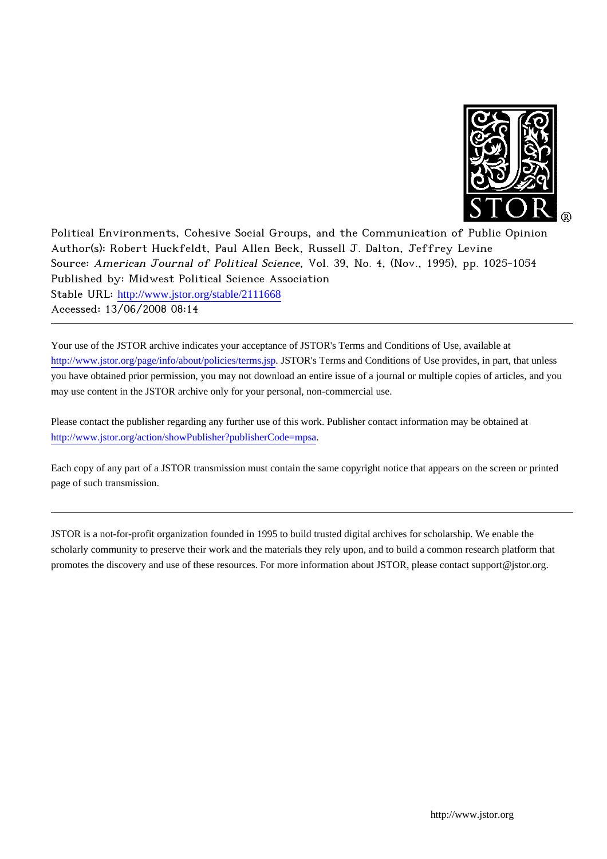

Political Environments, Cohesive Social Groups, and the Communication of Public Opinion Author(s): Robert Huckfeldt, Paul Allen Beck, Russell J. Dalton, Jeffrey Levine Source: American Journal of Political Science, Vol. 39, No. 4, (Nov., 1995), pp. 1025-1054 Published by: Midwest Political Science Association Stable URL: [http://www.jstor.org/stable/2111668](http://www.jstor.org/stable/2111668?origin=JSTOR-pdf) Accessed: 13/06/2008 08:14

Your use of the JSTOR archive indicates your acceptance of JSTOR's Terms and Conditions of Use, available at <http://www.jstor.org/page/info/about/policies/terms.jsp>. JSTOR's Terms and Conditions of Use provides, in part, that unless you have obtained prior permission, you may not download an entire issue of a journal or multiple copies of articles, and you may use content in the JSTOR archive only for your personal, non-commercial use.

Please contact the publisher regarding any further use of this work. Publisher contact information may be obtained at <http://www.jstor.org/action/showPublisher?publisherCode=mpsa>.

Each copy of any part of a JSTOR transmission must contain the same copyright notice that appears on the screen or printed page of such transmission.

JSTOR is a not-for-profit organization founded in 1995 to build trusted digital archives for scholarship. We enable the scholarly community to preserve their work and the materials they rely upon, and to build a common research platform that promotes the discovery and use of these resources. For more information about JSTOR, please contact support@jstor.org.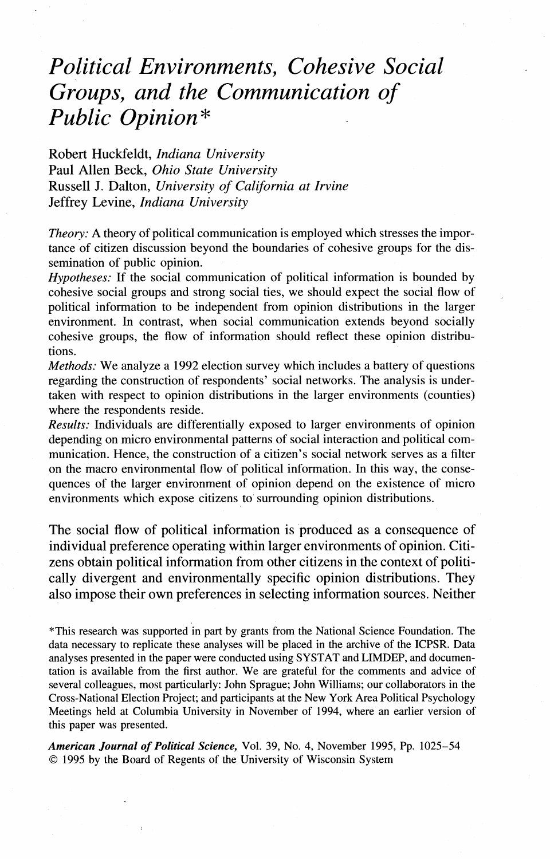# **Political Environments, Cohesive Social** Groups, and the Communication of Public Opinion\*

Robert Huckfeldt, Indiana University Paul Allen Beck, Ohio State University Russell J. Dalton, University of California at Irvine Jeffrey Levine, Indiana University

*Theory:* A theory of political communication is employed which stresses the importance of citizen discussion beyond the boundaries of cohesive groups for the dissemination of public opinion.

*Hypotheses:* If the social communication of political information is bounded by cohesive social groups and strong social ties, we should expect the social flow of political information to be independent from opinion distributions in the larger environment. In contrast, when social communication extends beyond socially cohesive groups, the flow of information should reflect these opinion distributions.

Methods: We analyze a 1992 election survey which includes a battery of questions regarding the construction of respondents' social networks. The analysis is undertaken with respect to opinion distributions in the larger environments (counties) where the respondents reside.

Results: Individuals are differentially exposed to larger environments of opinion depending on micro environmental patterns of social interaction and political communication. Hence, the construction of a citizen's social network serves as a filter on the macro environmental flow of political information. In this way, the consequences of the larger environment of opinion depend on the existence of micro environments which expose citizens to surrounding opinion distributions.

The social flow of political information is produced as a consequence of individual preference operating within larger environments of opinion. Citizens obtain political information from other citizens in the context of politically divergent and environmentally specific opinion distributions. They also impose their own preferences in selecting information sources. Neither

\*This research was supported in part by grants from the National Science Foundation. The data necessary to replicate these analyses will be placed in the archive of the ICPSR. Data analyses presented in the paper were conducted using SYSTAT and LIMDEP, and documentation is available from the first author. We are grateful for the comments and advice of several colleagues, most particularly: John Sprague; John Williams; our collaborators in the Cross-National Election Project; and participants at the New York Area Political Psychology Meetings held at Columbia University in November of 1994, where an earlier version of this paper was presented.

American Journal of Political Science, Vol. 39, No. 4, November 1995, Pp. 1025-54 © 1995 by the Board of Regents of the University of Wisconsin System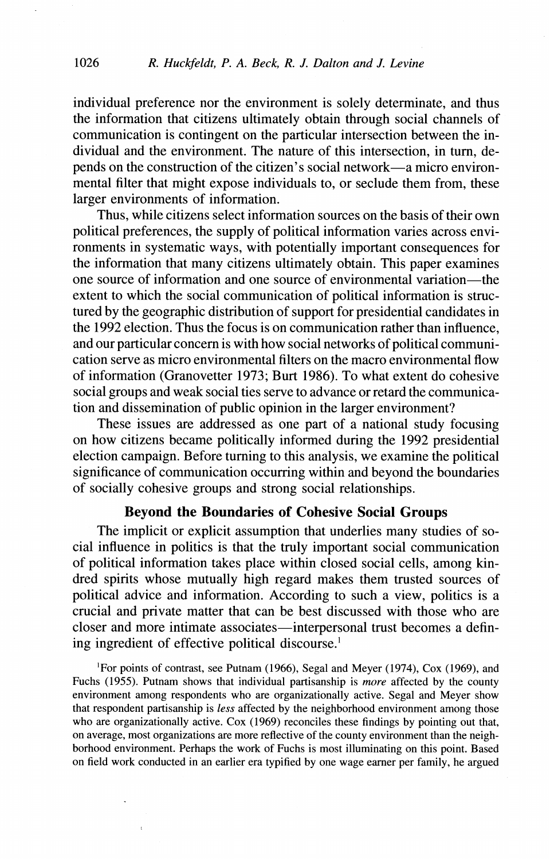individual preference nor the environment is solely determinate, and thus the information that citizens ultimately obtain through social channels of communication is contingent on the particular intersection between the individual and the environment. The nature of this intersection, in turn, depends on the construction of the citizen's social network—a micro environmental filter that might expose individuals to, or seclude them from, these larger environments of information.

Thus, while citizens select information sources on the basis of their own political preferences, the supply of political information varies across environments in systematic ways, with potentially important consequences for the information that many citizens ultimately obtain. This paper examines one source of information and one source of environmental variation—the extent to which the social communication of political information is structured by the geographic distribution of support for presidential candidates in the 1992 election. Thus the focus is on communication rather than influence, and our particular concern is with how social networks of political communication serve as micro environmental filters on the macro environmental flow of information (Granovetter 1973; Burt 1986). To what extent do cohesive social groups and weak social ties serve to advance or retard the communication and dissemination of public opinion in the larger environment?

These issues are addressed as one part of a national study focusing on how citizens became politically informed during the 1992 presidential election campaign. Before turning to this analysis, we examine the political significance of communication occurring within and beyond the boundaries of socially cohesive groups and strong social relationships.

#### **Beyond the Boundaries of Cohesive Social Groups**

The implicit or explicit assumption that underlies many studies of social influence in politics is that the truly important social communication of political information takes place within closed social cells, among kindred spirits whose mutually high regard makes them trusted sources of political advice and information. According to such a view, politics is a crucial and private matter that can be best discussed with those who are closer and more intimate associates—interpersonal trust becomes a defining ingredient of effective political discourse.<sup>1</sup>

<sup>1</sup>For points of contrast, see Putnam (1966), Segal and Meyer (1974), Cox (1969), and Fuchs (1955). Putnam shows that individual partisanship is *more* affected by the county environment among respondents who are organizationally active. Segal and Meyer show that respondent partisanship is less affected by the neighborhood environment among those who are organizationally active. Cox (1969) reconciles these findings by pointing out that, on average, most organizations are more reflective of the county environment than the neighborhood environment. Perhaps the work of Fuchs is most illuminating on this point. Based on field work conducted in an earlier era typified by one wage earner per family, he argued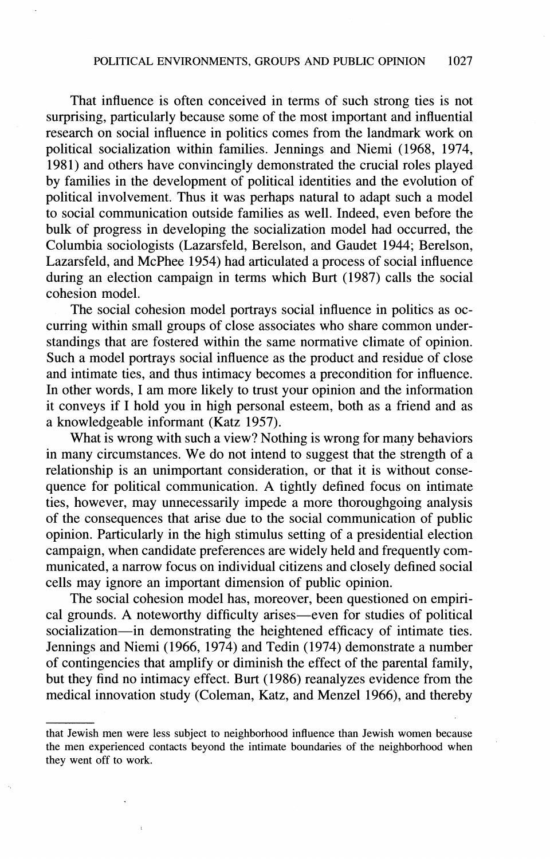That influence is often conceived in terms of such strong ties is not surprising, particularly because some of the most important and influential research on social influence in politics comes from the landmark work on political socialization within families. Jennings and Niemi (1968, 1974, 1981) and others have convincingly demonstrated the crucial roles played by families in the development of political identities and the evolution of political involvement. Thus it was perhaps natural to adapt such a model to social communication outside families as well. Indeed, even before the bulk of progress in developing the socialization model had occurred, the Columbia sociologists (Lazarsfeld, Berelson, and Gaudet 1944; Berelson, Lazarsfeld, and McPhee 1954) had articulated a process of social influence during an election campaign in terms which Burt (1987) calls the social cohesion model.

The social cohesion model portrays social influence in politics as occurring within small groups of close associates who share common understandings that are fostered within the same normative climate of opinion. Such a model portrays social influence as the product and residue of close and intimate ties, and thus intimacy becomes a precondition for influence. In other words, I am more likely to trust your opinion and the information it conveys if I hold you in high personal esteem, both as a friend and as a knowledgeable informant (Katz 1957).

What is wrong with such a view? Nothing is wrong for many behaviors in many circumstances. We do not intend to suggest that the strength of a relationship is an unimportant consideration, or that it is without consequence for political communication. A tightly defined focus on intimate ties, however, may unnecessarily impede a more thoroughgoing analysis of the consequences that arise due to the social communication of public opinion. Particularly in the high stimulus setting of a presidential election campaign, when candidate preferences are widely held and frequently communicated, a narrow focus on individual citizens and closely defined social cells may ignore an important dimension of public opinion.

The social cohesion model has, moreover, been questioned on empirical grounds. A noteworthy difficulty arises—even for studies of political socialization—in demonstrating the heightened efficacy of intimate ties. Jennings and Niemi (1966, 1974) and Tedin (1974) demonstrate a number of contingencies that amplify or diminish the effect of the parental family, but they find no intimacy effect. Burt (1986) reanalyzes evidence from the medical innovation study (Coleman, Katz, and Menzel 1966), and thereby

that Jewish men were less subject to neighborhood influence than Jewish women because the men experienced contacts beyond the intimate boundaries of the neighborhood when they went off to work.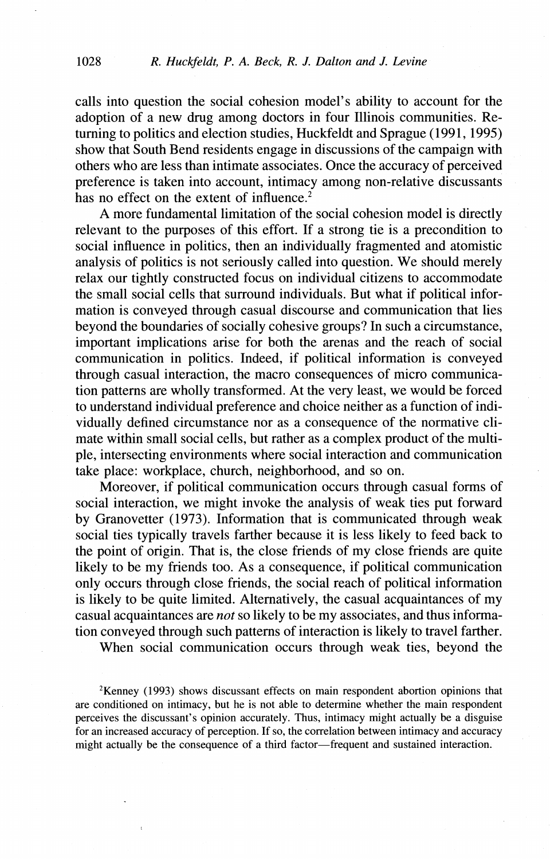calls into question the social cohesion model's ability to account for the adoption of a new drug among doctors in four Illinois communities. Returning to politics and election studies, Huckfeldt and Sprague (1991, 1995) show that South Bend residents engage in discussions of the campaign with others who are less than intimate associates. Once the accuracy of perceived preference is taken into account, intimacy among non-relative discussants has no effect on the extent of influence.<sup>2</sup>

A more fundamental limitation of the social cohesion model is directly relevant to the purposes of this effort. If a strong tie is a precondition to social influence in politics, then an individually fragmented and atomistic analysis of politics is not seriously called into question. We should merely relax our tightly constructed focus on individual citizens to accommodate the small social cells that surround individuals. But what if political information is conveyed through casual discourse and communication that lies beyond the boundaries of socially cohesive groups? In such a circumstance, important implications arise for both the arenas and the reach of social communication in politics. Indeed, if political information is conveyed through casual interaction, the macro consequences of micro communication patterns are wholly transformed. At the very least, we would be forced to understand individual preference and choice neither as a function of individually defined circumstance nor as a consequence of the normative climate within small social cells, but rather as a complex product of the multiple, intersecting environments where social interaction and communication take place: workplace, church, neighborhood, and so on.

Moreover, if political communication occurs through casual forms of social interaction, we might invoke the analysis of weak ties put forward by Granovetter (1973). Information that is communicated through weak social ties typically travels farther because it is less likely to feed back to the point of origin. That is, the close friends of my close friends are quite likely to be my friends too. As a consequence, if political communication only occurs through close friends, the social reach of political information is likely to be quite limited. Alternatively, the casual acquaintances of my casual acquaintances are not so likely to be my associates, and thus information conveyed through such patterns of interaction is likely to travel farther.

When social communication occurs through weak ties, beyond the

 ${}^{2}$ Kenney (1993) shows discussant effects on main respondent abortion opinions that are conditioned on intimacy, but he is not able to determine whether the main respondent perceives the discussant's opinion accurately. Thus, intimacy might actually be a disguise for an increased accuracy of perception. If so, the correlation between intimacy and accuracy might actually be the consequence of a third factor—frequent and sustained interaction.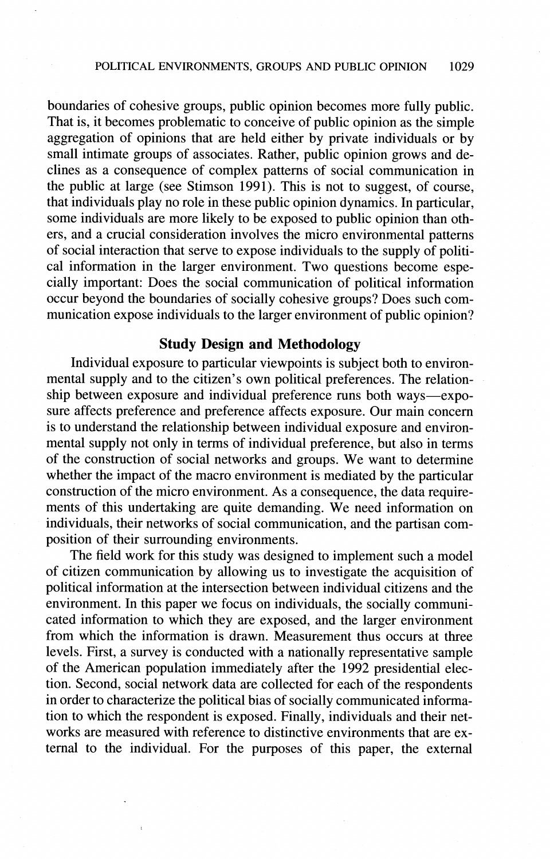boundaries of cohesive groups, public opinion becomes more fully public. That is, it becomes problematic to conceive of public opinion as the simple aggregation of opinions that are held either by private individuals or by small intimate groups of associates. Rather, public opinion grows and declines as a consequence of complex patterns of social communication in the public at large (see Stimson 1991). This is not to suggest, of course, that individuals play no role in these public opinion dynamics. In particular, some individuals are more likely to be exposed to public opinion than others, and a crucial consideration involves the micro environmental patterns of social interaction that serve to expose individuals to the supply of political information in the larger environment. Two questions become especially important: Does the social communication of political information occur beyond the boundaries of socially cohesive groups? Does such communication expose individuals to the larger environment of public opinion?

## **Study Design and Methodology**

Individual exposure to particular viewpoints is subject both to environmental supply and to the citizen's own political preferences. The relationship between exposure and individual preference runs both ways—exposure affects preference and preference affects exposure. Our main concern is to understand the relationship between individual exposure and environmental supply not only in terms of individual preference, but also in terms of the construction of social networks and groups. We want to determine whether the impact of the macro environment is mediated by the particular construction of the micro environment. As a consequence, the data requirements of this undertaking are quite demanding. We need information on individuals, their networks of social communication, and the partisan composition of their surrounding environments.

The field work for this study was designed to implement such a model of citizen communication by allowing us to investigate the acquisition of political information at the intersection between individual citizens and the environment. In this paper we focus on individuals, the socially communicated information to which they are exposed, and the larger environment from which the information is drawn. Measurement thus occurs at three levels. First, a survey is conducted with a nationally representative sample of the American population immediately after the 1992 presidential election. Second, social network data are collected for each of the respondents in order to characterize the political bias of socially communicated information to which the respondent is exposed. Finally, individuals and their networks are measured with reference to distinctive environments that are external to the individual. For the purposes of this paper, the external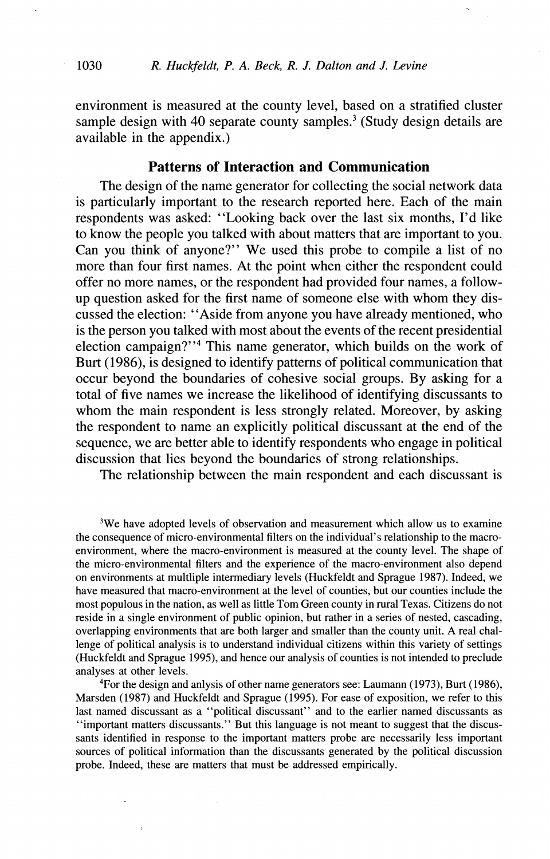environment is measured at the county level, based on a stratified cluster sample design with 40 separate county samples.<sup>3</sup> (Study design details are available in the appendix.)

### **Patterns of Interaction and Communication**

The design of the name generator for collecting the social network data is particularly important to the research reported here. Each of the main respondents was asked: "Looking back over the last six months. I'd like to know the people you talked with about matters that are important to you. Can you think of anyone?" We used this probe to compile a list of no more than four first names. At the point when either the respondent could offer no more names, or the respondent had provided four names, a followup question asked for the first name of someone else with whom they discussed the election: "Aside from anyone you have already mentioned, who is the person you talked with most about the events of the recent presidential election campaign?"<sup>4</sup> This name generator, which builds on the work of Burt (1986), is designed to identify patterns of political communication that occur beyond the boundaries of cohesive social groups. By asking for a total of five names we increase the likelihood of identifying discussants to whom the main respondent is less strongly related. Moreover, by asking the respondent to name an explicitly political discussant at the end of the sequence, we are better able to identify respondents who engage in political discussion that lies beyond the boundaries of strong relationships.

The relationship between the main respondent and each discussant is

<sup>3</sup>We have adopted levels of observation and measurement which allow us to examine the consequence of micro-environmental filters on the individual's relationship to the macroenvironment, where the macro-environment is measured at the county level. The shape of the micro-environmental filters and the experience of the macro-environment also depend on environments at multliple intermediary levels (Huckfeldt and Sprague 1987). Indeed, we have measured that macro-environment at the level of counties, but our counties include the most populous in the nation, as well as little Tom Green county in rural Texas. Citizens do not reside in a single environment of public opinion, but rather in a series of nested, cascading, overlapping environments that are both larger and smaller than the county unit. A real challenge of political analysis is to understand individual citizens within this variety of settings (Huckfeldt and Sprague 1995), and hence our analysis of counties is not intended to preclude analyses at other levels.

<sup>4</sup>For the design and anlysis of other name generators see: Laumann (1973), Burt (1986), Marsden (1987) and Huckfeldt and Sprague (1995). For ease of exposition, we refer to this last named discussant as a "political discussant" and to the earlier named discussants as "important matters discussants." But this language is not meant to suggest that the discussants identified in response to the important matters probe are necessarily less important sources of political information than the discussants generated by the political discussion probe. Indeed, these are matters that must be addressed empirically.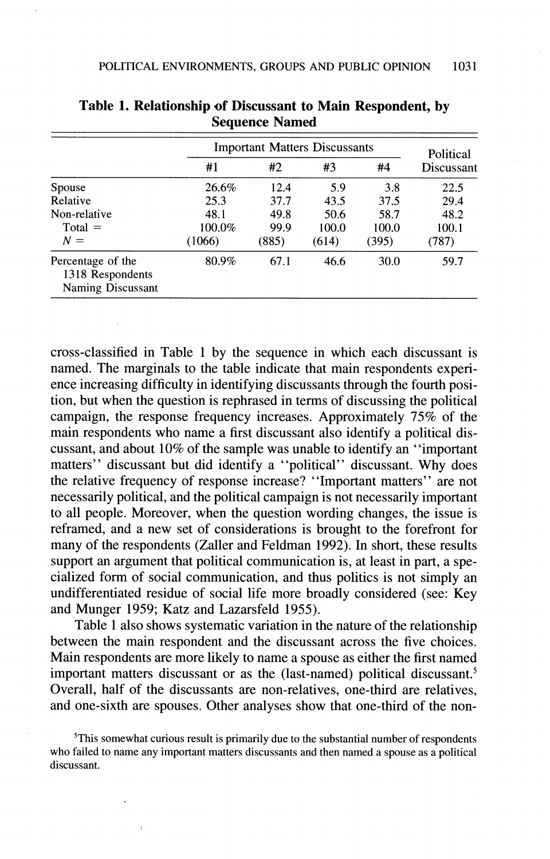| <b>Dequence France</b>                                     |                                      |       |       |       |            |  |
|------------------------------------------------------------|--------------------------------------|-------|-------|-------|------------|--|
|                                                            | <b>Important Matters Discussants</b> |       |       |       | Political  |  |
|                                                            | #1                                   | #2    | #3    | #4    | Discussant |  |
| Spouse                                                     | 26.6%                                | 12.4  | 5.9   | 3.8   | 22.5       |  |
| Relative                                                   | 25.3                                 | 37.7  | 43.5  | 37.5  | 29.4       |  |
| Non-relative                                               | 48.1                                 | 49.8  | 50.6  | 58.7  | 48.2       |  |
| $Total =$                                                  | 100.0%                               | 99.9  | 100.0 | 100.0 | 100.1      |  |
| $N =$                                                      | (1066)                               | (885) | (614) | (395) | (787)      |  |
| Percentage of the<br>1318 Respondents<br>Naming Discussant | 80.9%                                | 67.1  | 46.6  | 30.0  | 59.7       |  |

| Table 1. Relationship of Discussant to Main Respondent, by |                       |  |  |
|------------------------------------------------------------|-----------------------|--|--|
|                                                            | <b>Sequence Named</b> |  |  |

cross-classified in Table 1 by the sequence in which each discussant is named. The marginals to the table indicate that main respondents experience increasing difficulty in identifying discussants through the fourth position, but when the question is rephrased in terms of discussing the political campaign, the response frequency increases. Approximately  $75\%$  of the main respondents who name a first discussant also identify a political discussant, and about 10% of the sample was unable to identify an "important" matters" discussant but did identify a "political" discussant. Why does the relative frequency of response increase? "Important matters" are not necessarily political, and the political campaign is not necessarily important to all people. Moreover, when the question wording changes, the issue is reframed, and a new set of considerations is brought to the forefront for many of the respondents (Zaller and Feldman 1992). In short, these results support an argument that political communication is, at least in part, a specialized form of social communication, and thus politics is not simply an undifferentiated residue of social life more broadly considered (see: Key and Munger 1959; Katz and Lazarsfeld 1955).

Table 1 also shows systematic variation in the nature of the relationship between the main respondent and the discussant across the five choices. Main respondents are more likely to name a spouse as either the first named important matters discussant or as the (last-named) political discussant.<sup>5</sup> Overall, half of the discussants are non-relatives, one-third are relatives, and one-sixth are spouses. Other analyses show that one-third of the non-

<sup>&</sup>lt;sup>5</sup>This somewhat curious result is primarily due to the substantial number of respondents who failed to name any important matters discussants and then named a spouse as a political discussant.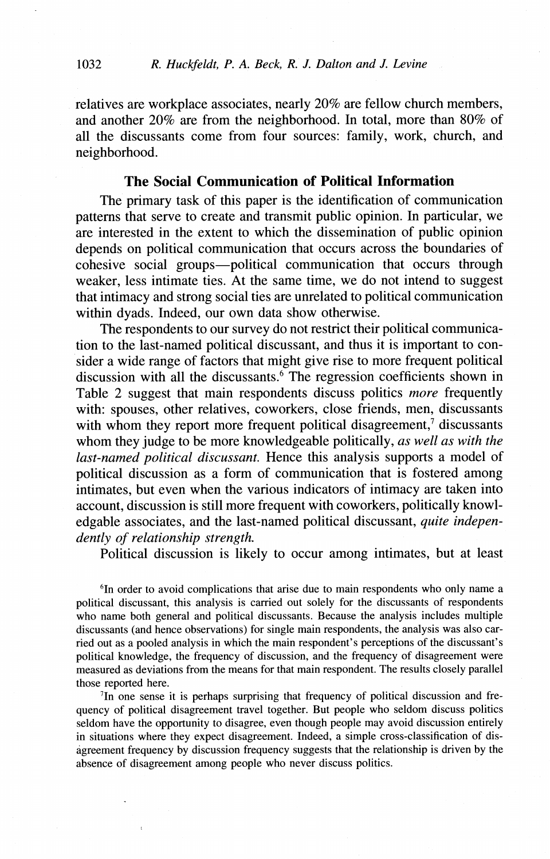relatives are workplace associates, nearly 20% are fellow church members, and another 20% are from the neighborhood. In total, more than 80% of all the discussants come from four sources: family, work, church, and neighborhood.

#### The Social Communication of Political Information

The primary task of this paper is the identification of communication patterns that serve to create and transmit public opinion. In particular, we are interested in the extent to which the dissemination of public opinion depends on political communication that occurs across the boundaries of cohesive social groups—political communication that occurs through weaker, less intimate ties. At the same time, we do not intend to suggest that intimacy and strong social ties are unrelated to political communication within dyads. Indeed, our own data show otherwise.

The respondents to our survey do not restrict their political communication to the last-named political discussant, and thus it is important to consider a wide range of factors that might give rise to more frequent political discussion with all the discussants.<sup>6</sup> The regression coefficients shown in Table 2 suggest that main respondents discuss politics *more* frequently with: spouses, other relatives, coworkers, close friends, men, discussants with whom they report more frequent political disagreement.<sup>7</sup> discussants whom they judge to be more knowledgeable politically, as well as with the last-named political discussant. Hence this analysis supports a model of political discussion as a form of communication that is fostered among intimates, but even when the various indicators of intimacy are taken into account, discussion is still more frequent with coworkers, politically knowledgable associates, and the last-named political discussant, quite independently of relationship strength.

Political discussion is likely to occur among intimates, but at least

<sup>6</sup>In order to avoid complications that arise due to main respondents who only name a political discussant, this analysis is carried out solely for the discussants of respondents who name both general and political discussants. Because the analysis includes multiple discussants (and hence observations) for single main respondents, the analysis was also carried out as a pooled analysis in which the main respondent's perceptions of the discussant's political knowledge, the frequency of discussion, and the frequency of disagreement were measured as deviations from the means for that main respondent. The results closely parallel those reported here.

 $7\text{In}$  one sense it is perhaps surprising that frequency of political discussion and frequency of political disagreement travel together. But people who seldom discuss politics seldom have the opportunity to disagree, even though people may avoid discussion entirely in situations where they expect disagreement. Indeed, a simple cross-classification of disagreement frequency by discussion frequency suggests that the relationship is driven by the absence of disagreement among people who never discuss politics.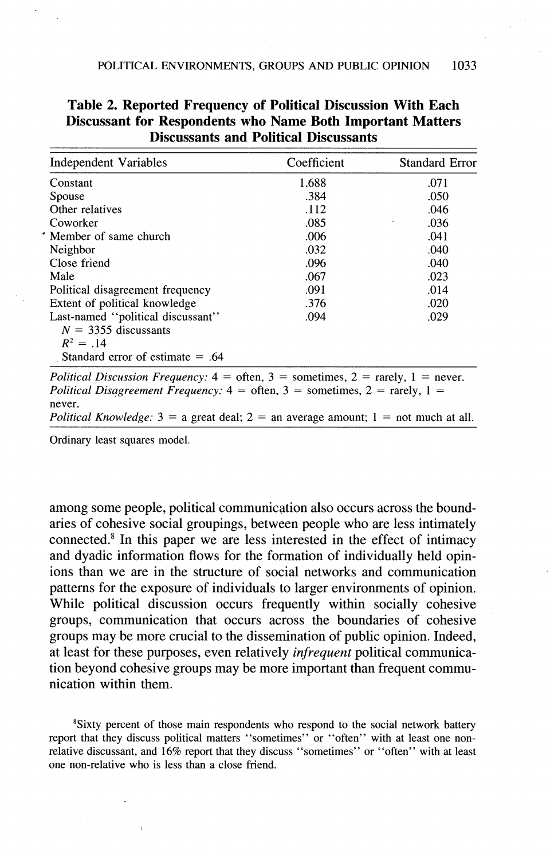| <b>Independent Variables</b>                                | Coefficient | <b>Standard Error</b> |
|-------------------------------------------------------------|-------------|-----------------------|
| Constant                                                    | 1.688       | .071                  |
| Spouse                                                      | .384        | .050                  |
| Other relatives                                             | .112        | .046                  |
| Coworker                                                    | .085        | .036                  |
| Member of same church                                       | .006        | .041                  |
| Neighbor                                                    | .032        | .040                  |
| Close friend                                                | .096        | .040                  |
| Male                                                        | .067        | .023                  |
| Political disagreement frequency                            | .091        | .014                  |
| Extent of political knowledge                               | .376        | .020                  |
| Last-named "political discussant"<br>$N = 3355$ discussants | .094        | .029                  |
| $R^2 = 14$<br>Standard error of estimate $= .64$            |             |                       |

| Table 2. Reported Frequency of Political Discussion With Each     |
|-------------------------------------------------------------------|
| <b>Discussant for Respondents who Name Both Important Matters</b> |
| <b>Discussants and Political Discussants</b>                      |

Political Disagreement Frequency:  $4 =$  often,  $3 =$  sometimes,  $2 =$  rarely,  $1 =$ never.

Political Knowledge:  $3 = a$  great deal;  $2 = an$  average amount;  $1 = not$  much at all.

Ordinary least squares model.

among some people, political communication also occurs across the boundaries of cohesive social groupings, between people who are less intimately connected.<sup>8</sup> In this paper we are less interested in the effect of intimacy and dyadic information flows for the formation of individually held opinions than we are in the structure of social networks and communication patterns for the exposure of individuals to larger environments of opinion. While political discussion occurs frequently within socially cohesive groups, communication that occurs across the boundaries of cohesive groups may be more crucial to the dissemination of public opinion. Indeed, at least for these purposes, even relatively *infrequent* political communication beyond cohesive groups may be more important than frequent communication within them.

<sup>8</sup>Sixty percent of those main respondents who respond to the social network battery report that they discuss political matters "sometimes" or "often" with at least one nonrelative discussant, and 16% report that they discuss "sometimes" or "often" with at least one non-relative who is less than a close friend.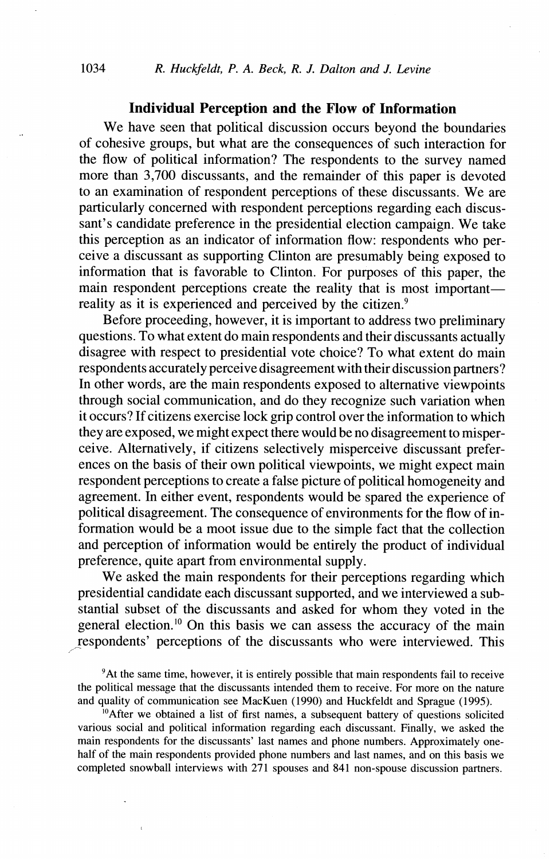#### R. Huckfeldt, P. A. Beck, R. J. Dalton and J. Levine

#### Individual Perception and the Flow of Information

We have seen that political discussion occurs beyond the boundaries of cohesive groups, but what are the consequences of such interaction for the flow of political information? The respondents to the survey named more than 3,700 discussants, and the remainder of this paper is devoted to an examination of respondent perceptions of these discussants. We are particularly concerned with respondent perceptions regarding each discussant's candidate preference in the presidential election campaign. We take this perception as an indicator of information flow: respondents who perceive a discussant as supporting Clinton are presumably being exposed to information that is favorable to Clinton. For purposes of this paper, the main respondent perceptions create the reality that is most important reality as it is experienced and perceived by the citizen.<sup>9</sup>

Before proceeding, however, it is important to address two preliminary questions. To what extent do main respondents and their discussants actually disagree with respect to presidential vote choice? To what extent do main respondents accurately perceive disagreement with their discussion partners? In other words, are the main respondents exposed to alternative viewpoints through social communication, and do they recognize such variation when it occurs? If citizens exercise lock grip control over the information to which they are exposed, we might expect there would be no disagreement to misperceive. Alternatively, if citizens selectively misperceive discussant preferences on the basis of their own political viewpoints, we might expect main respondent perceptions to create a false picture of political homogeneity and agreement. In either event, respondents would be spared the experience of political disagreement. The consequence of environments for the flow of information would be a moot issue due to the simple fact that the collection and perception of information would be entirely the product of individual preference, quite apart from environmental supply.

We asked the main respondents for their perceptions regarding which presidential candidate each discussant supported, and we interviewed a substantial subset of the discussants and asked for whom they voted in the general election.<sup>10</sup> On this basis we can assess the accuracy of the main respondents' perceptions of the discussants who were interviewed. This

<sup>9</sup>At the same time, however, it is entirely possible that main respondents fail to receive the political message that the discussants intended them to receive. For more on the nature and quality of communication see MacKuen (1990) and Huckfeldt and Sprague (1995).

<sup>10</sup>After we obtained a list of first names, a subsequent battery of questions solicited various social and political information regarding each discussant. Finally, we asked the main respondents for the discussants' last names and phone numbers. Approximately onehalf of the main respondents provided phone numbers and last names, and on this basis we completed snowball interviews with 271 spouses and 841 non-spouse discussion partners.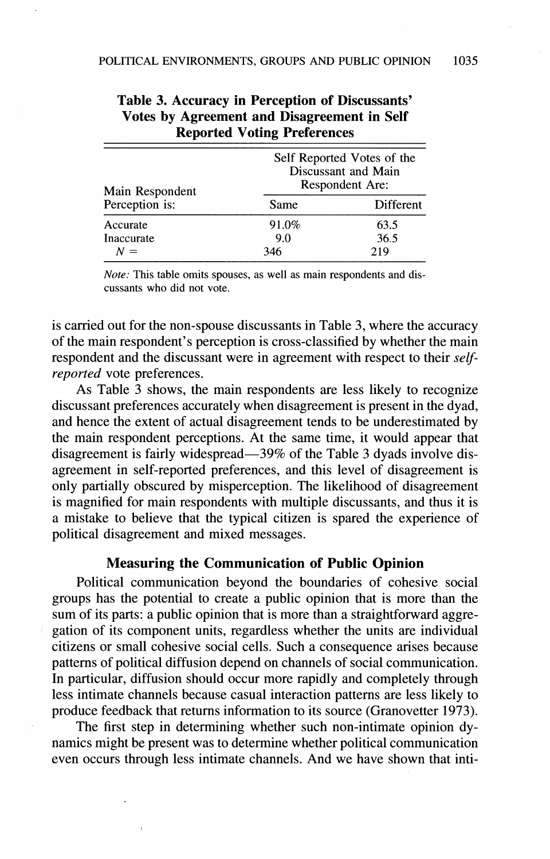| Main Respondent<br>Perception is: | Self Reported Votes of the<br>Discussant and Main<br>Respondent Are: |                     |  |
|-----------------------------------|----------------------------------------------------------------------|---------------------|--|
|                                   | Same                                                                 | Different           |  |
| Accurate<br>Inaccurate<br>$N =$   | 91.0%<br>9.0<br>346                                                  | 63.5<br>36.5<br>219 |  |

| Table 3. Accuracy in Perception of Discussants' |
|-------------------------------------------------|
| Votes by Agreement and Disagreement in Self     |
| <b>Reported Voting Preferences</b>              |

*Note:* This table omits spouses, as well as main respondents and discussants who did not vote.

is carried out for the non-spouse discussants in Table 3, where the accuracy of the main respondent's perception is cross-classified by whether the main respondent and the discussant were in agreement with respect to their self*reported* vote preferences.

As Table 3 shows, the main respondents are less likely to recognize discussant preferences accurately when disagreement is present in the dyad. and hence the extent of actual disagreement tends to be underestimated by the main respondent perceptions. At the same time, it would appear that disagreement is fairly widespread—39% of the Table 3 dyads involve disagreement in self-reported preferences, and this level of disagreement is only partially obscured by misperception. The likelihood of disagreement is magnified for main respondents with multiple discussants, and thus it is a mistake to believe that the typical citizen is spared the experience of political disagreement and mixed messages.

#### **Measuring the Communication of Public Opinion**

Political communication beyond the boundaries of cohesive social groups has the potential to create a public opinion that is more than the sum of its parts: a public opinion that is more than a straightforward aggregation of its component units, regardless whether the units are individual citizens or small cohesive social cells. Such a consequence arises because patterns of political diffusion depend on channels of social communication. In particular, diffusion should occur more rapidly and completely through less intimate channels because casual interaction patterns are less likely to produce feedback that returns information to its source (Granovetter 1973).

The first step in determining whether such non-intimate opinion dynamics might be present was to determine whether political communication even occurs through less intimate channels. And we have shown that inti-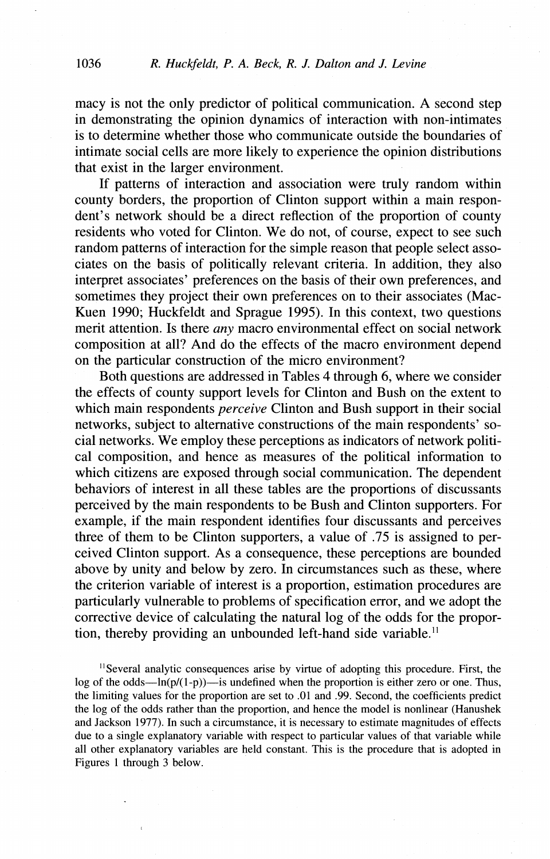macy is not the only predictor of political communication. A second step in demonstrating the opinion dynamics of interaction with non-intimates is to determine whether those who communicate outside the boundaries of intimate social cells are more likely to experience the opinion distributions that exist in the larger environment.

If patterns of interaction and association were truly random within county borders, the proportion of Clinton support within a main respondent's network should be a direct reflection of the proportion of county residents who voted for Clinton. We do not, of course, expect to see such random patterns of interaction for the simple reason that people select associates on the basis of politically relevant criteria. In addition, they also interpret associates' preferences on the basis of their own preferences, and sometimes they project their own preferences on to their associates (Mac-Kuen 1990; Huckfeldt and Sprague 1995). In this context, two questions merit attention. Is there *any* macro environmental effect on social network composition at all? And do the effects of the macro environment depend on the particular construction of the micro environment?

Both questions are addressed in Tables 4 through 6, where we consider the effects of county support levels for Clinton and Bush on the extent to which main respondents *perceive* Clinton and Bush support in their social networks, subject to alternative constructions of the main respondents' social networks. We employ these perceptions as indicators of network political composition, and hence as measures of the political information to which citizens are exposed through social communication. The dependent behaviors of interest in all these tables are the proportions of discussants perceived by the main respondents to be Bush and Clinton supporters. For example, if the main respondent identifies four discussants and perceives three of them to be Clinton supporters, a value of .75 is assigned to perceived Clinton support. As a consequence, these perceptions are bounded above by unity and below by zero. In circumstances such as these, where the criterion variable of interest is a proportion, estimation procedures are particularly vulnerable to problems of specification error, and we adopt the corrective device of calculating the natural log of the odds for the proportion, thereby providing an unbounded left-hand side variable.<sup>11</sup>

<sup>11</sup>Several analytic consequences arise by virtue of adopting this procedure. First, the log of the odds— $\ln(p/(1-p))$ —is undefined when the proportion is either zero or one. Thus, the limiting values for the proportion are set to .01 and .99. Second, the coefficients predict the log of the odds rather than the proportion, and hence the model is nonlinear (Hanushek and Jackson 1977). In such a circumstance, it is necessary to estimate magnitudes of effects due to a single explanatory variable with respect to particular values of that variable while all other explanatory variables are held constant. This is the procedure that is adopted in Figures 1 through 3 below.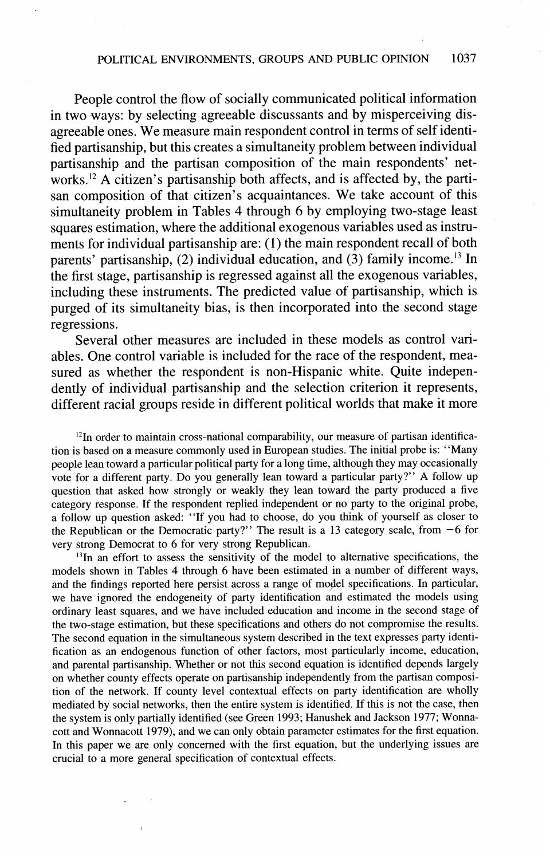People control the flow of socially communicated political information in two ways: by selecting agreeable discussants and by misperceiving disagreeable ones. We measure main respondent control in terms of self identified partisanship, but this creates a simultaneity problem between individual partisanship and the partisan composition of the main respondents' networks.<sup>12</sup> A citizen's partisanship both affects, and is affected by, the partisan composition of that citizen's acquaintances. We take account of this simultaneity problem in Tables 4 through 6 by employing two-stage least squares estimation, where the additional exogenous variables used as instruments for individual partisanship are: (1) the main respondent recall of both parents' partisanship, (2) individual education, and (3) family income.<sup>13</sup> In the first stage, partisanship is regressed against all the exogenous variables, including these instruments. The predicted value of partisanship, which is purged of its simultaneity bias, is then incorporated into the second stage regressions.

Several other measures are included in these models as control variables. One control variable is included for the race of the respondent, measured as whether the respondent is non-Hispanic white. Quite independently of individual partisanship and the selection criterion it represents, different racial groups reside in different political worlds that make it more

<sup>12</sup>In order to maintain cross-national comparability, our measure of partisan identification is based on a measure commonly used in European studies. The initial probe is: "Many people lean toward a particular political party for a long time, although they may occasionally vote for a different party. Do you generally lean toward a particular party?" A follow up question that asked how strongly or weakly they lean toward the party produced a five category response. If the respondent replied independent or no party to the original probe, a follow up question asked: "If you had to choose, do you think of yourself as closer to the Republican or the Democratic party?" The result is a 13 category scale, from  $-6$  for very strong Democrat to 6 for very strong Republican.

 $13$ In an effort to assess the sensitivity of the model to alternative specifications, the models shown in Tables 4 through 6 have been estimated in a number of different ways, and the findings reported here persist across a range of model specifications. In particular, we have ignored the endogeneity of party identification and estimated the models using ordinary least squares, and we have included education and income in the second stage of the two-stage estimation, but these specifications and others do not compromise the results. The second equation in the simultaneous system described in the text expresses party identification as an endogenous function of other factors, most particularly income, education, and parental partisanship. Whether or not this second equation is identified depends largely on whether county effects operate on partisanship independently from the partisan composition of the network. If county level contextual effects on party identification are wholly mediated by social networks, then the entire system is identified. If this is not the case, then the system is only partially identified (see Green 1993; Hanushek and Jackson 1977; Wonnacott and Wonnacott 1979), and we can only obtain parameter estimates for the first equation. In this paper we are only concerned with the first equation, but the underlying issues are crucial to a more general specification of contextual effects.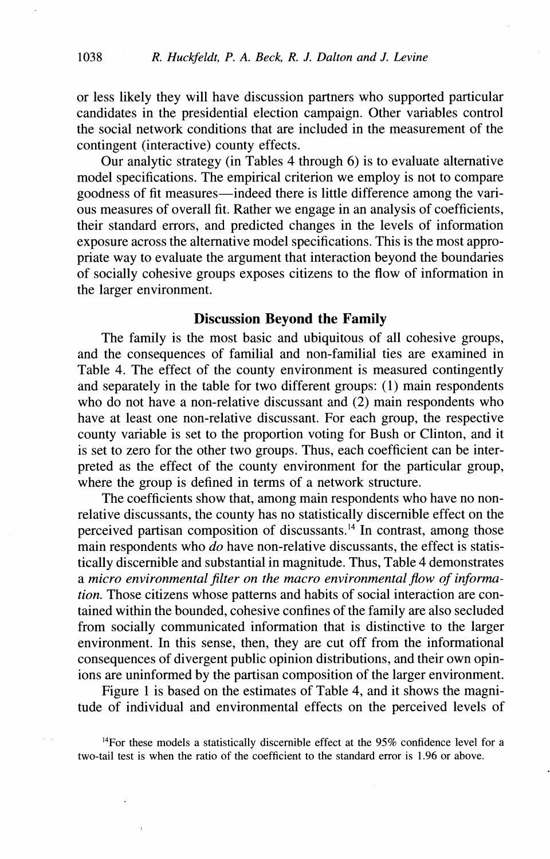or less likely they will have discussion partners who supported particular candidates in the presidential election campaign. Other variables control the social network conditions that are included in the measurement of the contingent (interactive) county effects.

Our analytic strategy (in Tables 4 through 6) is to evaluate alternative model specifications. The empirical criterion we employ is not to compare goodness of fit measures—indeed there is little difference among the various measures of overall fit. Rather we engage in an analysis of coefficients, their standard errors, and predicted changes in the levels of information exposure across the alternative model specifications. This is the most appropriate way to evaluate the argument that interaction beyond the boundaries of socially cohesive groups exposes citizens to the flow of information in the larger environment.

## **Discussion Beyond the Family**

The family is the most basic and ubiquitous of all cohesive groups, and the consequences of familial and non-familial ties are examined in Table 4. The effect of the county environment is measured contingently and separately in the table for two different groups: (1) main respondents who do not have a non-relative discussant and  $(2)$  main respondents who have at least one non-relative discussant. For each group, the respective county variable is set to the proportion voting for Bush or Clinton, and it is set to zero for the other two groups. Thus, each coefficient can be interpreted as the effect of the county environment for the particular group, where the group is defined in terms of a network structure.

The coefficients show that, among main respondents who have no nonrelative discussants, the county has no statistically discernible effect on the perceived partisan composition of discussants.<sup>14</sup> In contrast, among those main respondents who  $\overline{do}$  have non-relative discussants, the effect is statistically discernible and substantial in magnitude. Thus, Table 4 demonstrates a micro environmental filter on the macro environmental flow of information. Those citizens whose patterns and habits of social interaction are contained within the bounded, cohesive confines of the family are also secluded from socially communicated information that is distinctive to the larger environment. In this sense, then, they are cut off from the informational consequences of divergent public opinion distributions, and their own opinions are uninformed by the partisan composition of the larger environment.

Figure 1 is based on the estimates of Table 4, and it shows the magnitude of individual and environmental effects on the perceived levels of

 $14$ For these models a statistically discernible effect at the 95% confidence level for a two-tail test is when the ratio of the coefficient to the standard error is 1.96 or above.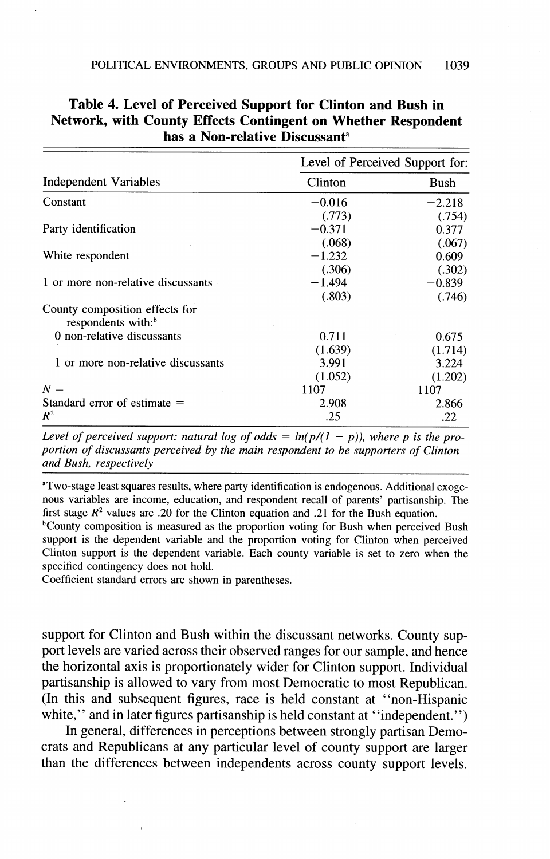|                                                                  | Level of Perceived Support for: |          |  |
|------------------------------------------------------------------|---------------------------------|----------|--|
| Independent Variables                                            | Clinton                         | Bush     |  |
| Constant                                                         | $-0.016$                        | $-2.218$ |  |
|                                                                  | (.773)                          | (.754)   |  |
| Party identification                                             | $-0.371$                        | 0.377    |  |
|                                                                  | (.068)                          | (.067)   |  |
| White respondent                                                 | $-1.232$                        | 0.609    |  |
|                                                                  | (.306)                          | (.302)   |  |
| 1 or more non-relative discussants                               | $-1.494$                        | $-0.839$ |  |
|                                                                  | (.803)                          | (.746)   |  |
| County composition effects for<br>respondents with: <sup>b</sup> |                                 |          |  |
| 0 non-relative discussants                                       | 0.711                           | 0.675    |  |
|                                                                  | (1.639)                         | (1.714)  |  |
| 1 or more non-relative discussants                               | 3.991                           | 3.224    |  |
|                                                                  | (1.052)                         | (1.202)  |  |
| $N =$                                                            | 1107                            | 1107     |  |
| Standard error of estimate $=$                                   | 2.908                           | 2.866    |  |
| $R^2$                                                            | .25                             | .22      |  |

## Table 4. Level of Perceived Support for Clinton and Bush in Network, with County Effects Contingent on Whether Respondent has a Non-relative Discussant<sup>a</sup>

Level of perceived support: natural log of odds =  $ln(p/(1 - p))$ , where p is the proportion of discussants perceived by the main respondent to be supporters of Clinton and Bush, respectively

<sup>a</sup>Two-stage least squares results, where party identification is endogenous. Additional exogenous variables are income, education, and respondent recall of parents' partisanship. The first stage  $R^2$  values are .20 for the Clinton equation and .21 for the Bush equation.

<sup>b</sup>County composition is measured as the proportion voting for Bush when perceived Bush support is the dependent variable and the proportion voting for Clinton when perceived Clinton support is the dependent variable. Each county variable is set to zero when the specified contingency does not hold.

Coefficient standard errors are shown in parentheses.

support for Clinton and Bush within the discussant networks. County support levels are varied across their observed ranges for our sample, and hence the horizontal axis is proportionately wider for Clinton support. Individual partisanship is allowed to vary from most Democratic to most Republican. (In this and subsequent figures, race is held constant at "non-Hispanic white," and in later figures partisanship is held constant at "independent.")

In general, differences in perceptions between strongly partisan Democrats and Republicans at any particular level of county support are larger than the differences between independents across county support levels.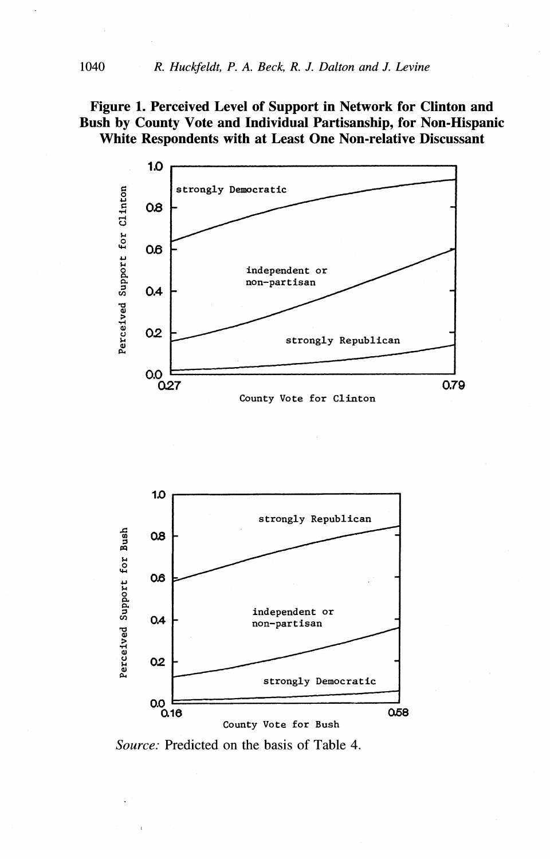## Figure 1. Perceived Level of Support in Network for Clinton and Bush by County Vote and Individual Partisanship, for Non-Hispanic White Respondents with at Least One Non-relative Discussant





Source: Predicted on the basis of Table 4.

1040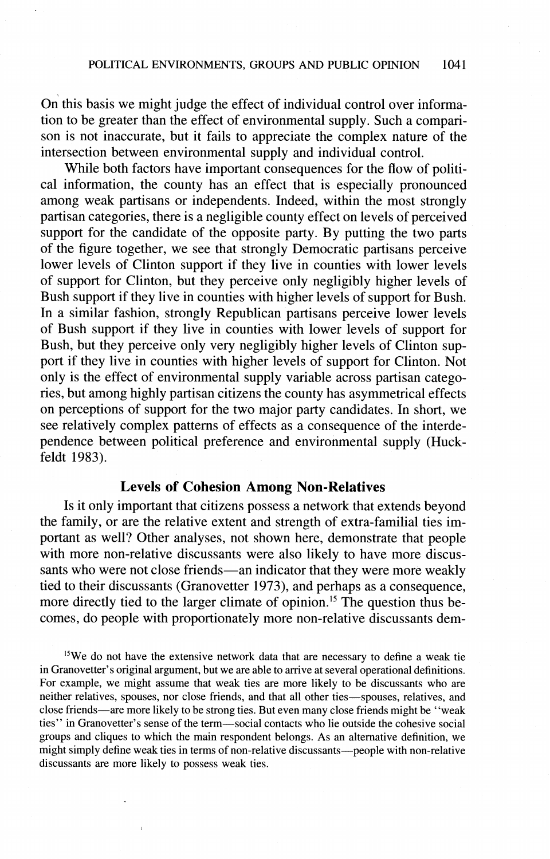On this basis we might judge the effect of individual control over information to be greater than the effect of environmental supply. Such a comparison is not inaccurate, but it fails to appreciate the complex nature of the intersection between environmental supply and individual control.

While both factors have important consequences for the flow of political information, the county has an effect that is especially pronounced among weak partisans or independents. Indeed, within the most strongly partisan categories, there is a negligible county effect on levels of perceived support for the candidate of the opposite party. By putting the two parts of the figure together, we see that strongly Democratic partisans perceive lower levels of Clinton support if they live in counties with lower levels of support for Clinton, but they perceive only negligibly higher levels of Bush support if they live in counties with higher levels of support for Bush. In a similar fashion, strongly Republican partisans perceive lower levels of Bush support if they live in counties with lower levels of support for Bush, but they perceive only very negligibly higher levels of Clinton support if they live in counties with higher levels of support for Clinton. Not only is the effect of environmental supply variable across partisan categories, but among highly partisan citizens the county has asymmetrical effects on perceptions of support for the two major party candidates. In short, we see relatively complex patterns of effects as a consequence of the interdependence between political preference and environmental supply (Huckfeldt 1983).

## **Levels of Cohesion Among Non-Relatives**

Is it only important that citizens possess a network that extends beyond the family, or are the relative extent and strength of extra-familial ties important as well? Other analyses, not shown here, demonstrate that people with more non-relative discussants were also likely to have more discussants who were not close friends—an indicator that they were more weakly tied to their discussants (Granovetter 1973), and perhaps as a consequence, more directly tied to the larger climate of opinion.<sup>15</sup> The question thus becomes, do people with proportionately more non-relative discussants dem-

<sup>15</sup>We do not have the extensive network data that are necessary to define a weak tie in Granovetter's original argument, but we are able to arrive at several operational definitions. For example, we might assume that weak ties are more likely to be discussants who are neither relatives, spouses, nor close friends, and that all other ties-spouses, relatives, and close friends—are more likely to be strong ties. But even many close friends might be "weak ties" in Granovetter's sense of the term—social contacts who lie outside the cohesive social groups and cliques to which the main respondent belongs. As an alternative definition, we might simply define weak ties in terms of non-relative discussants—people with non-relative discussants are more likely to possess weak ties.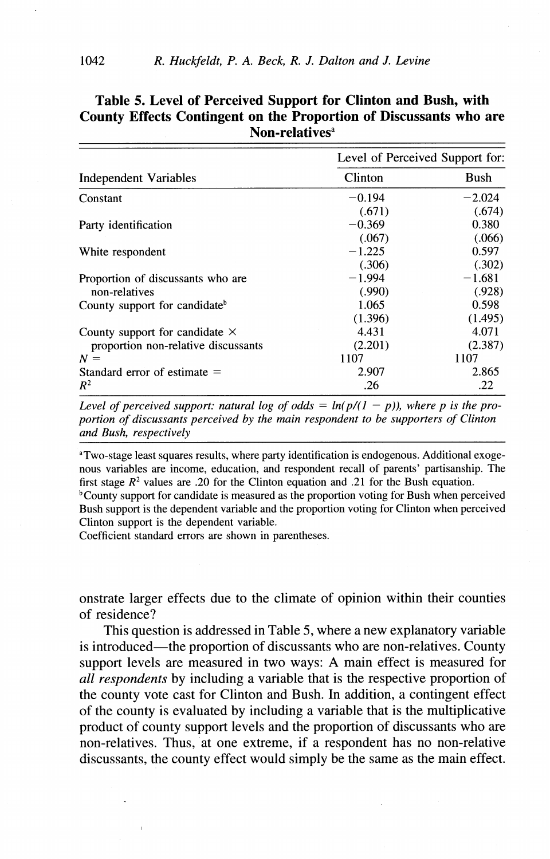| County Effects Contingent on the Froportion of Discussants who are<br>Non-relatives <sup>a</sup> |                                 |          |  |  |
|--------------------------------------------------------------------------------------------------|---------------------------------|----------|--|--|
|                                                                                                  | Level of Perceived Support for: |          |  |  |
| Independent Variables                                                                            | Clinton                         | Bush     |  |  |
| Constant                                                                                         | $-0.194$                        | $-2.024$ |  |  |
|                                                                                                  | (.671)                          | (.674)   |  |  |
| Party identification                                                                             | $-0.369$                        | 0.380    |  |  |
|                                                                                                  | (.067)                          | (.066)   |  |  |
| White respondent                                                                                 | $-1.225$                        | 0.597    |  |  |
|                                                                                                  | (.306)                          | (.302)   |  |  |
| Proportion of discussants who are                                                                | $-1.994$                        | $-1.681$ |  |  |
| non-relatives                                                                                    | (.990)                          | (.928)   |  |  |
| County support for candidate <sup>b</sup>                                                        | 1.065                           | 0.598    |  |  |
|                                                                                                  | (1.396)                         | (1.495)  |  |  |
| County support for candidate $\times$                                                            | 4.431                           | 4.071    |  |  |
| proportion non-relative discussants                                                              | (2.201)                         | (2.387)  |  |  |
| $N =$                                                                                            | 1107                            | 1107     |  |  |
| Standard error of estimate $=$                                                                   | 2.907                           | 2.865    |  |  |
| $R^2$                                                                                            | .26                             | .22      |  |  |

# Table 5. Level of Perceived Support for Clinton and Bush, with County Effects Contingent on the Proportion of Discussents who are

Level of perceived support: natural log of odds =  $ln(p/(1-p))$ , where p is the proportion of discussants perceived by the main respondent to be supporters of Clinton and Bush, respectively

<sup>a</sup>Two-stage least squares results, where party identification is endogenous. Additional exogenous variables are income, education, and respondent recall of parents' partisanship. The first stage  $R^2$  values are .20 for the Clinton equation and .21 for the Bush equation.

<sup>b</sup>County support for candidate is measured as the proportion voting for Bush when perceived Bush support is the dependent variable and the proportion voting for Clinton when perceived Clinton support is the dependent variable.

Coefficient standard errors are shown in parentheses.

onstrate larger effects due to the climate of opinion within their counties of residence?

This question is addressed in Table 5, where a new explanatory variable is introduced—the proportion of discussants who are non-relatives. County support levels are measured in two ways: A main effect is measured for all respondents by including a variable that is the respective proportion of the county vote cast for Clinton and Bush. In addition, a contingent effect of the county is evaluated by including a variable that is the multiplicative product of county support levels and the proportion of discussants who are non-relatives. Thus, at one extreme, if a respondent has no non-relative discussants, the county effect would simply be the same as the main effect.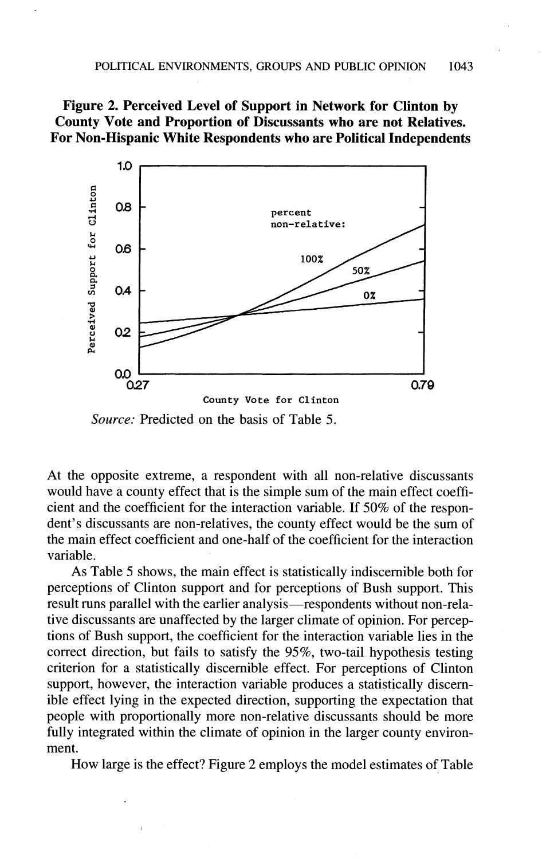Figure 2. Perceived Level of Support in Network for Clinton by County Vote and Proportion of Discussants who are not Relatives. For Non-Hispanic White Respondents who are Political Independents



Source: Predicted on the basis of Table 5.

At the opposite extreme, a respondent with all non-relative discussants would have a county effect that is the simple sum of the main effect coefficient and the coefficient for the interaction variable. If 50% of the respondent's discussants are non-relatives, the county effect would be the sum of the main effect coefficient and one-half of the coefficient for the interaction variable.

As Table 5 shows, the main effect is statistically indiscernible both for perceptions of Clinton support and for perceptions of Bush support. This result runs parallel with the earlier analysis—respondents without non-relative discussants are unaffected by the larger climate of opinion. For perceptions of Bush support, the coefficient for the interaction variable lies in the correct direction, but fails to satisfy the 95%, two-tail hypothesis testing criterion for a statistically discernible effect. For perceptions of Clinton support, however, the interaction variable produces a statistically discernible effect lying in the expected direction, supporting the expectation that people with proportionally more non-relative discussants should be more fully integrated within the climate of opinion in the larger county environment.

How large is the effect? Figure 2 employs the model estimates of Table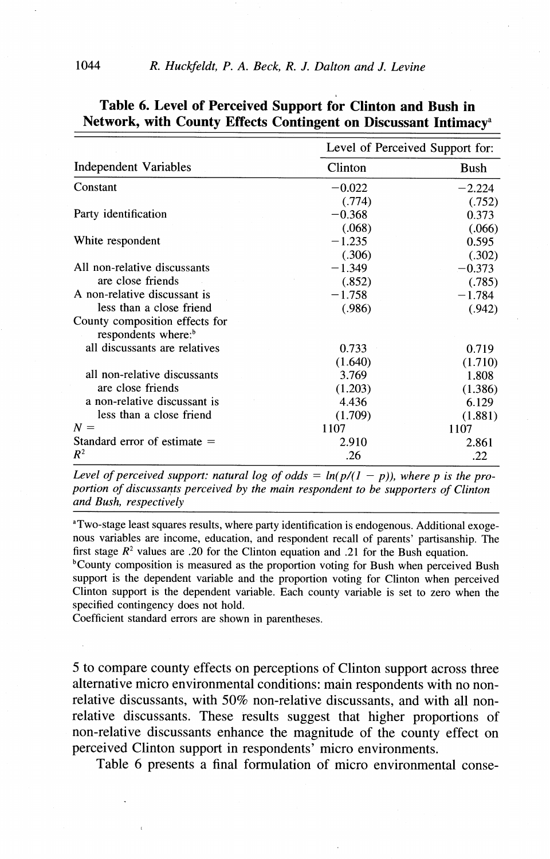|                                                                   | Level of Perceived Support for: |          |  |
|-------------------------------------------------------------------|---------------------------------|----------|--|
| Independent Variables                                             | Clinton                         | Bush     |  |
| Constant                                                          | $-0.022$                        | $-2.224$ |  |
|                                                                   | (.774)                          | (.752)   |  |
| Party identification                                              | $-0.368$                        | 0.373    |  |
|                                                                   | (.068)                          | (.066)   |  |
| White respondent                                                  | $-1.235$                        | 0.595    |  |
|                                                                   | (.306)                          | (.302)   |  |
| All non-relative discussants                                      | $-1.349$                        | $-0.373$ |  |
| are close friends                                                 | (.852)                          | (.785)   |  |
| A non-relative discussant is                                      | $-1.758$                        | $-1.784$ |  |
| less than a close friend                                          | (.986)                          | (.942)   |  |
| County composition effects for<br>respondents where: <sup>b</sup> |                                 |          |  |
| all discussants are relatives                                     | 0.733                           | 0.719    |  |
|                                                                   | (1.640)                         | (1.710)  |  |
| all non-relative discussants                                      | 3.769                           | 1.808    |  |
| are close friends                                                 | (1.203)                         | (1.386)  |  |
| a non-relative discussant is                                      | 4.436                           | 6.129    |  |
| less than a close friend                                          | (1.709)                         | (1.881)  |  |
| $N =$                                                             | 1107                            | 1107     |  |
| Standard error of estimate $=$                                    | 2.910                           | 2.861    |  |
| $R^2$                                                             | .26                             | .22      |  |

## Table 6. Level of Perceived Support for Clinton and Bush in Network, with County Effects Contingent on Discussant Intimacy<sup>a</sup>

Level of perceived support: natural log of odds =  $ln(p/(1 - p))$ , where p is the proportion of discussants perceived by the main respondent to be supporters of Clinton and Bush, respectively

<sup>a</sup>Two-stage least squares results, where party identification is endogenous. Additional exogenous variables are income, education, and respondent recall of parents' partisanship. The first stage  $R^2$  values are .20 for the Clinton equation and .21 for the Bush equation.

<sup>b</sup>County composition is measured as the proportion voting for Bush when perceived Bush support is the dependent variable and the proportion voting for Clinton when perceived Clinton support is the dependent variable. Each county variable is set to zero when the specified contingency does not hold.

Coefficient standard errors are shown in parentheses.

5 to compare county effects on perceptions of Clinton support across three alternative micro environmental conditions: main respondents with no nonrelative discussants, with 50% non-relative discussants, and with all nonrelative discussants. These results suggest that higher proportions of non-relative discussants enhance the magnitude of the county effect on perceived Clinton support in respondents' micro environments.

Table 6 presents a final formulation of micro environmental conse-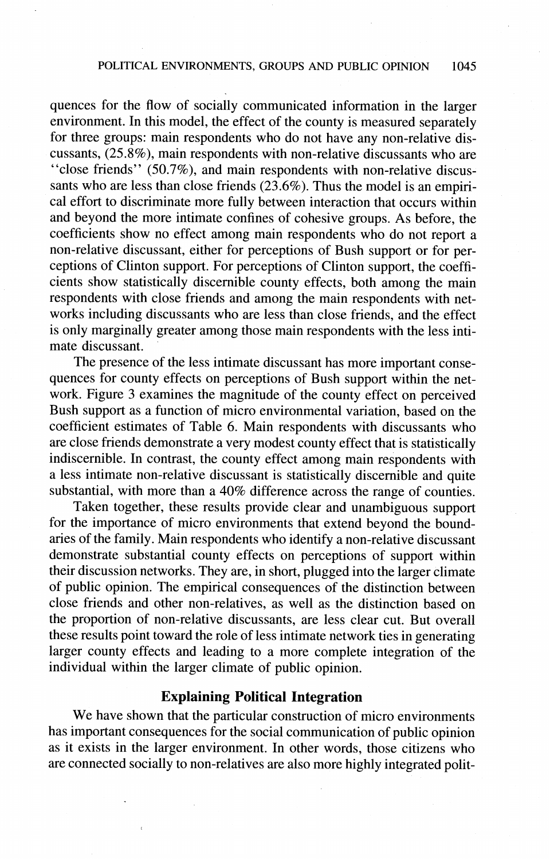quences for the flow of socially communicated information in the larger environment. In this model, the effect of the county is measured separately for three groups: main respondents who do not have any non-relative discussants, (25.8%), main respondents with non-relative discussants who are "close friends" (50.7%), and main respondents with non-relative discussants who are less than close friends  $(23.6\%)$ . Thus the model is an empirical effort to discriminate more fully between interaction that occurs within and beyond the more intimate confines of cohesive groups. As before, the coefficients show no effect among main respondents who do not report a non-relative discussant, either for perceptions of Bush support or for perceptions of Clinton support. For perceptions of Clinton support, the coefficients show statistically discernible county effects, both among the main respondents with close friends and among the main respondents with networks including discussants who are less than close friends, and the effect is only marginally greater among those main respondents with the less intimate discussant.

The presence of the less intimate discussant has more important consequences for county effects on perceptions of Bush support within the network. Figure 3 examines the magnitude of the county effect on perceived Bush support as a function of micro environmental variation, based on the coefficient estimates of Table 6. Main respondents with discussants who are close friends demonstrate a very modest county effect that is statistically indiscernible. In contrast, the county effect among main respondents with a less intimate non-relative discussant is statistically discernible and quite substantial, with more than a 40% difference across the range of counties.

Taken together, these results provide clear and unambiguous support for the importance of micro environments that extend beyond the boundaries of the family. Main respondents who identify a non-relative discussant demonstrate substantial county effects on perceptions of support within their discussion networks. They are, in short, plugged into the larger climate of public opinion. The empirical consequences of the distinction between close friends and other non-relatives, as well as the distinction based on the proportion of non-relative discussants, are less clear cut. But overall these results point toward the role of less intimate network ties in generating larger county effects and leading to a more complete integration of the individual within the larger climate of public opinion.

#### **Explaining Political Integration**

We have shown that the particular construction of micro environments has important consequences for the social communication of public opinion as it exists in the larger environment. In other words, those citizens who are connected socially to non-relatives are also more highly integrated polit-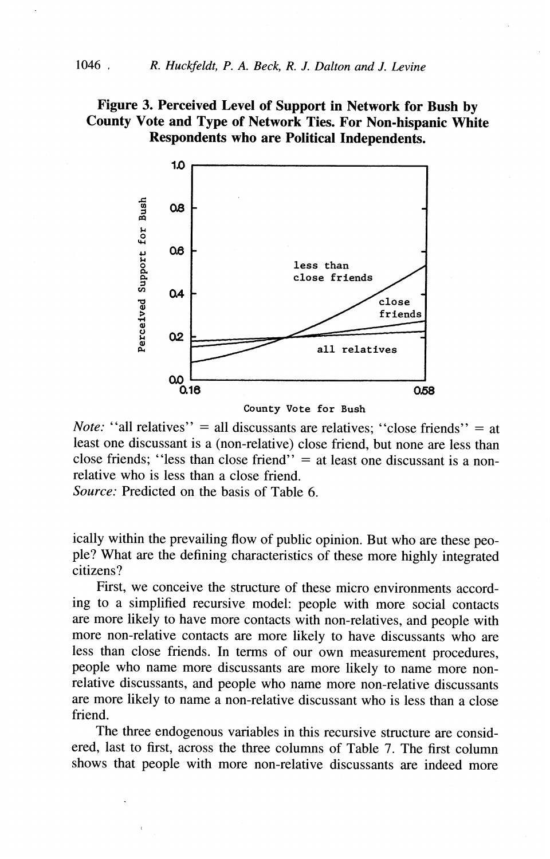## Figure 3. Perceived Level of Support in Network for Bush by County Vote and Type of Network Ties. For Non-hispanic White Respondents who are Political Independents.



*Note:* "all relatives" = all discussants are relatives; "close friends" = at least one discussant is a (non-relative) close friend, but none are less than close friends: "less than close friend" = at least one discussant is a nonrelative who is less than a close friend

Source: Predicted on the basis of Table 6

ically within the prevailing flow of public opinion. But who are these people? What are the defining characteristics of these more highly integrated citizens?

First, we conceive the structure of these micro environments according to a simplified recursive model: people with more social contacts are more likely to have more contacts with non-relatives, and people with more non-relative contacts are more likely to have discussants who are less than close friends. In terms of our own measurement procedures, people who name more discussants are more likely to name more nonrelative discussants, and people who name more non-relative discussants are more likely to name a non-relative discussant who is less than a close friend.

The three endogenous variables in this recursive structure are considered, last to first, across the three columns of Table 7. The first column shows that people with more non-relative discussants are indeed more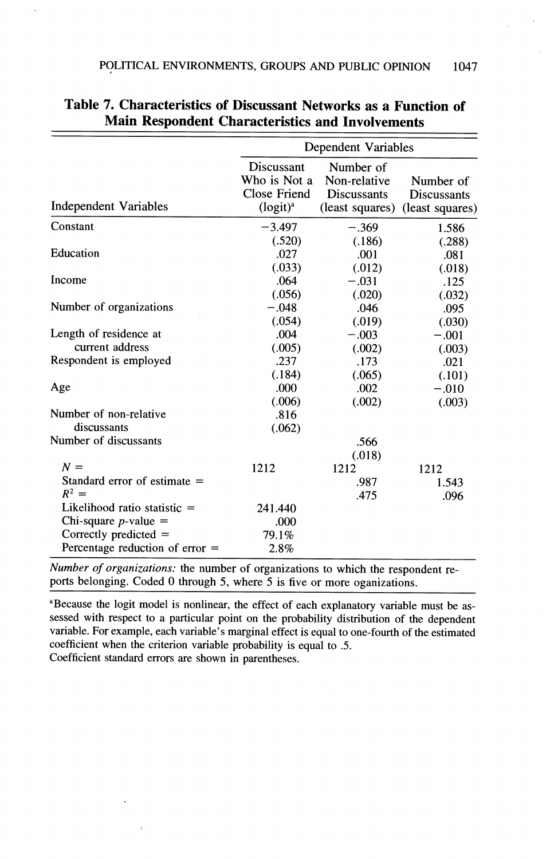|                                                              | Dependent Variables                                       |                                                                    |                                                    |
|--------------------------------------------------------------|-----------------------------------------------------------|--------------------------------------------------------------------|----------------------------------------------------|
| <b>Independent Variables</b>                                 | Discussant<br>Who is Not a<br>Close Friend<br>$(logit)^a$ | Number of<br>Non-relative<br><b>Discussants</b><br>(least squares) | Number of<br><b>Discussants</b><br>(least squares) |
| Constant                                                     | $-3.497$                                                  | $-.369$                                                            | 1.586                                              |
| Education                                                    | (.520)<br>.027                                            | (.186)<br>.001                                                     | (.288)<br>.081                                     |
| Income                                                       | (.033)<br>.064                                            | (.012)<br>$-.031$                                                  | (.018)<br>.125                                     |
|                                                              | (.056)                                                    | (.020)                                                             | (.032)                                             |
| Number of organizations                                      | $-.048$<br>(.054)                                         | .046                                                               | .095                                               |
| Length of residence at<br>current address                    | .004<br>(.005)                                            | (.019)<br>$-.003$<br>(.002)                                        | (.030)<br>$-.001$                                  |
| Respondent is employed                                       | .237<br>(.184)                                            | .173<br>(.065)                                                     | (.003)<br>.021                                     |
| Age                                                          | .000<br>(.006)                                            | .002<br>(.002)                                                     | (.101)<br>$-.010$<br>(.003)                        |
| Number of non-relative<br>discussants                        | .816<br>(.062)                                            |                                                                    |                                                    |
| Number of discussants                                        |                                                           | .566<br>(.018)                                                     |                                                    |
| $N =$                                                        | 1212                                                      | 1212                                                               | 1212                                               |
| Standard error of estimate $=$<br>$R^2 =$                    |                                                           | .987<br>.475                                                       | 1.543<br>.096                                      |
| Likelihood ratio statistic $=$                               | 241.440                                                   |                                                                    |                                                    |
| Chi-square $p$ -value $=$                                    | .000                                                      |                                                                    |                                                    |
| Correctly predicted $=$<br>Percentage reduction of $error =$ | 79.1%<br>2.8%                                             |                                                                    |                                                    |

## Table 7. Characteristics of Discussant Networks as a Function of **Main Respondent Characteristics and Involvements**

Number of organizations: the number of organizations to which the respondent reports belonging. Coded 0 through 5, where 5 is five or more oganizations.

<sup>a</sup>Because the logit model is nonlinear, the effect of each explanatory variable must be assessed with respect to a particular point on the probability distribution of the dependent variable. For example, each variable's marginal effect is equal to one-fourth of the estimated coefficient when the criterion variable probability is equal to .5. Coefficient standard errors are shown in parentheses.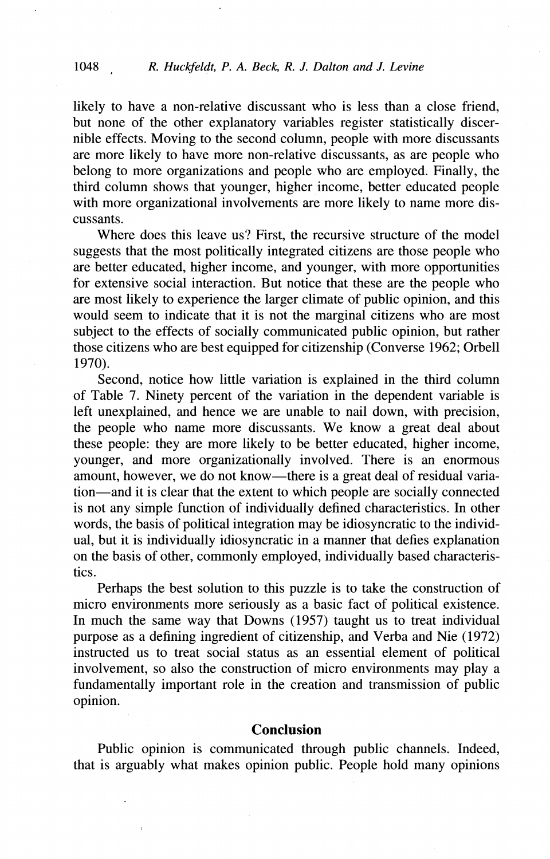likely to have a non-relative discussant who is less than a close friend. but none of the other explanatory variables register statistically discernible effects. Moving to the second column, people with more discussants are more likely to have more non-relative discussants, as are people who belong to more organizations and people who are employed. Finally, the third column shows that younger, higher income, better educated people with more organizational involvements are more likely to name more discussants

Where does this leave us? First, the recursive structure of the model suggests that the most politically integrated citizens are those people who are better educated, higher income, and younger, with more opportunities for extensive social interaction. But notice that these are the people who are most likely to experience the larger climate of public opinion, and this would seem to indicate that it is not the marginal citizens who are most subject to the effects of socially communicated public opinion, but rather those citizens who are best equipped for citizenship (Converse 1962; Orbell 1970).

Second, notice how little variation is explained in the third column of Table 7. Ninety percent of the variation in the dependent variable is left unexplained, and hence we are unable to nail down, with precision, the people who name more discussants. We know a great deal about these people: they are more likely to be better educated, higher income, younger, and more organizationally involved. There is an enormous amount, however, we do not know—there is a great deal of residual variation—and it is clear that the extent to which people are socially connected is not any simple function of individually defined characteristics. In other words, the basis of political integration may be idiosyncratic to the individual, but it is individually idiosyncratic in a manner that defies explanation on the basis of other, commonly employed, individually based characteristics.

Perhaps the best solution to this puzzle is to take the construction of micro environments more seriously as a basic fact of political existence. In much the same way that Downs (1957) taught us to treat individual purpose as a defining ingredient of citizenship, and Verba and Nie (1972) instructed us to treat social status as an essential element of political involvement, so also the construction of micro environments may play a fundamentally important role in the creation and transmission of public opinion.

#### **Conclusion**

Public opinion is communicated through public channels. Indeed, that is arguably what makes opinion public. People hold many opinions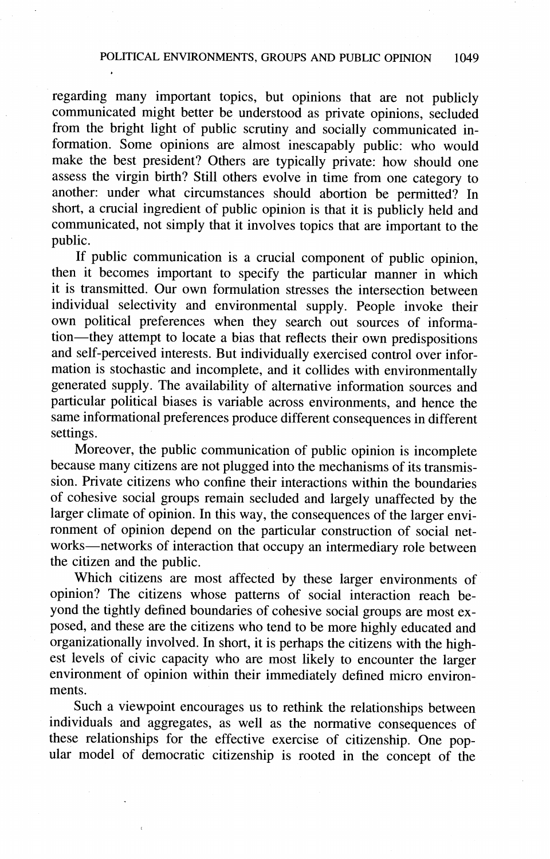regarding many important topics, but opinions that are not publicly communicated might better be understood as private opinions, secluded from the bright light of public scrutiny and socially communicated information. Some opinions are almost inescapably public: who would make the best president? Others are typically private: how should one assess the virgin birth? Still others evolve in time from one category to another: under what circumstances should abortion be permitted? In short, a crucial ingredient of public opinion is that it is publicly held and communicated, not simply that it involves topics that are important to the public.

If public communication is a crucial component of public opinion, then it becomes important to specify the particular manner in which it is transmitted. Our own formulation stresses the intersection between individual selectivity and environmental supply. People invoke their own political preferences when they search out sources of information—they attempt to locate a bias that reflects their own predispositions and self-perceived interests. But individually exercised control over information is stochastic and incomplete, and it collides with environmentally generated supply. The availability of alternative information sources and particular political biases is variable across environments, and hence the same informational preferences produce different consequences in different settings.

Moreover, the public communication of public opinion is incomplete because many citizens are not plugged into the mechanisms of its transmission. Private citizens who confine their interactions within the boundaries of cohesive social groups remain secluded and largely unaffected by the larger climate of opinion. In this way, the consequences of the larger environment of opinion depend on the particular construction of social networks—networks of interaction that occupy an intermediary role between the citizen and the public.

Which citizens are most affected by these larger environments of opinion? The citizens whose patterns of social interaction reach beyond the tightly defined boundaries of cohesive social groups are most exposed, and these are the citizens who tend to be more highly educated and organizationally involved. In short, it is perhaps the citizens with the highest levels of civic capacity who are most likely to encounter the larger environment of opinion within their immediately defined micro environments.

Such a viewpoint encourages us to rethink the relationships between individuals and aggregates, as well as the normative consequences of these relationships for the effective exercise of citizenship. One popular model of democratic citizenship is rooted in the concept of the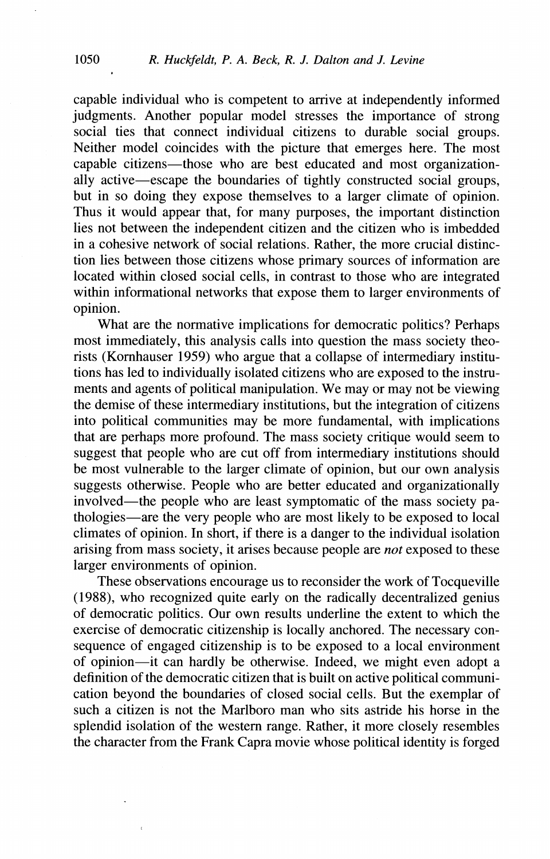capable individual who is competent to arrive at independently informed judgments. Another popular model stresses the importance of strong social ties that connect individual citizens to durable social groups. Neither model coincides with the picture that emerges here. The most capable citizens—those who are best educated and most organizationally active—escape the boundaries of tightly constructed social groups, but in so doing they expose themselves to a larger climate of opinion. Thus it would appear that, for many purposes, the important distinction lies not between the independent citizen and the citizen who is imbedded in a cohesive network of social relations. Rather, the more crucial distinction lies between those citizens whose primary sources of information are located within closed social cells, in contrast to those who are integrated within informational networks that expose them to larger environments of opinion.

What are the normative implications for democratic politics? Perhaps most immediately, this analysis calls into question the mass society theorists (Kornhauser 1959) who argue that a collapse of intermediary institutions has led to individually isolated citizens who are exposed to the instruments and agents of political manipulation. We may or may not be viewing the demise of these intermediary institutions, but the integration of citizens into political communities may be more fundamental, with implications that are perhaps more profound. The mass society critique would seem to suggest that people who are cut off from intermediary institutions should be most vulnerable to the larger climate of opinion, but our own analysis suggests otherwise. People who are better educated and organizationally involved—the people who are least symptomatic of the mass society pathologies—are the very people who are most likely to be exposed to local climates of opinion. In short, if there is a danger to the individual isolation arising from mass society, it arises because people are *not* exposed to these larger environments of opinion.

These observations encourage us to reconsider the work of Tocqueville (1988), who recognized quite early on the radically decentralized genius of democratic politics. Our own results underline the extent to which the exercise of democratic citizenship is locally anchored. The necessary consequence of engaged citizenship is to be exposed to a local environment of opinion—it can hardly be otherwise. Indeed, we might even adopt a definition of the democratic citizen that is built on active political communication beyond the boundaries of closed social cells. But the exemplar of such a citizen is not the Marlboro man who sits astride his horse in the splendid isolation of the western range. Rather, it more closely resembles the character from the Frank Capra movie whose political identity is forged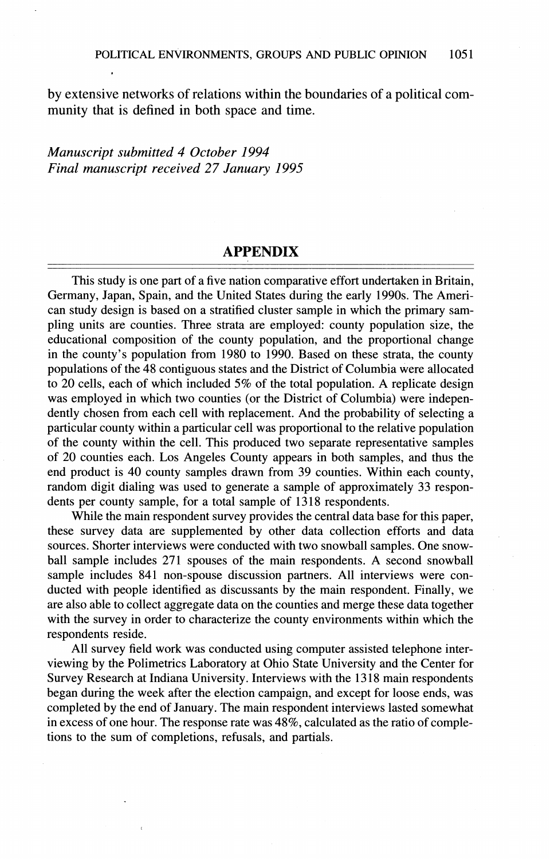by extensive networks of relations within the boundaries of a political community that is defined in both space and time.

Manuscript submitted 4 October 1994 Final manuscript received 27 January 1995

#### **APPENDIX**

This study is one part of a five nation comparative effort undertaken in Britain, Germany, Japan, Spain, and the United States during the early 1990s. The American study design is based on a stratified cluster sample in which the primary sampling units are counties. Three strata are employed: county population size, the educational composition of the county population, and the proportional change in the county's population from 1980 to 1990. Based on these strata, the county populations of the 48 contiguous states and the District of Columbia were allocated to 20 cells, each of which included 5% of the total population. A replicate design was employed in which two counties (or the District of Columbia) were independently chosen from each cell with replacement. And the probability of selecting a particular county within a particular cell was proportional to the relative population of the county within the cell. This produced two separate representative samples of 20 counties each. Los Angeles County appears in both samples, and thus the end product is 40 county samples drawn from 39 counties. Within each county, random digit dialing was used to generate a sample of approximately 33 respondents per county sample, for a total sample of 1318 respondents.

While the main respondent survey provides the central data base for this paper, these survey data are supplemented by other data collection efforts and data sources. Shorter interviews were conducted with two snowball samples. One snowball sample includes 271 spouses of the main respondents. A second snowball sample includes 841 non-spouse discussion partners. All interviews were conducted with people identified as discussants by the main respondent. Finally, we are also able to collect aggregate data on the counties and merge these data together with the survey in order to characterize the county environments within which the respondents reside.

All survey field work was conducted using computer assisted telephone interviewing by the Polimetrics Laboratory at Ohio State University and the Center for Survey Research at Indiana University. Interviews with the 1318 main respondents began during the week after the election campaign, and except for loose ends, was completed by the end of January. The main respondent interviews lasted somewhat in excess of one hour. The response rate was  $48\%$ , calculated as the ratio of completions to the sum of completions, refusals, and partials.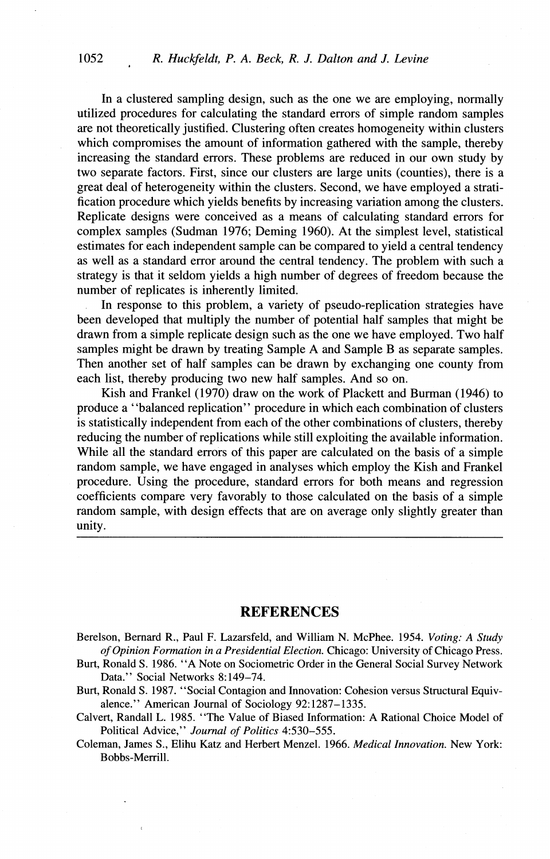In a clustered sampling design, such as the one we are employing, normally utilized procedures for calculating the standard errors of simple random samples are not theoretically justified. Clustering often creates homogeneity within clusters which compromises the amount of information gathered with the sample, thereby increasing the standard errors. These problems are reduced in our own study by two separate factors. First, since our clusters are large units (counties), there is a great deal of heterogeneity within the clusters. Second, we have employed a stratification procedure which yields benefits by increasing variation among the clusters. Replicate designs were conceived as a means of calculating standard errors for complex samples (Sudman 1976; Deming 1960). At the simplest level, statistical estimates for each independent sample can be compared to yield a central tendency as well as a standard error around the central tendency. The problem with such a strategy is that it seldom yields a high number of degrees of freedom because the number of replicates is inherently limited.

In response to this problem, a variety of pseudo-replication strategies have been developed that multiply the number of potential half samples that might be drawn from a simple replicate design such as the one we have employed. Two half samples might be drawn by treating Sample A and Sample B as separate samples. Then another set of half samples can be drawn by exchanging one county from each list, thereby producing two new half samples. And so on.

Kish and Frankel (1970) draw on the work of Plackett and Burman (1946) to produce a "balanced replication" procedure in which each combination of clusters is statistically independent from each of the other combinations of clusters, thereby reducing the number of replications while still exploiting the available information. While all the standard errors of this paper are calculated on the basis of a simple random sample, we have engaged in analyses which employ the Kish and Frankel procedure. Using the procedure, standard errors for both means and regression coefficients compare very favorably to those calculated on the basis of a simple random sample, with design effects that are on average only slightly greater than unity.

#### **REFERENCES**

Berelson, Bernard R., Paul F. Lazarsfeld, and William N. McPhee. 1954. Voting: A Study of Opinion Formation in a Presidential Election. Chicago: University of Chicago Press.

- Burt, Ronald S. 1986. "A Note on Sociometric Order in the General Social Survey Network Data." Social Networks 8:149-74.
- Burt, Ronald S. 1987. "Social Contagion and Innovation: Cohesion versus Structural Equivalence." American Journal of Sociology 92:1287-1335.
- Calvert, Randall L. 1985. "The Value of Biased Information: A Rational Choice Model of Political Advice," Journal of Politics 4:530-555.
- Coleman, James S., Elihu Katz and Herbert Menzel. 1966. Medical Innovation. New York: Bobbs-Merrill.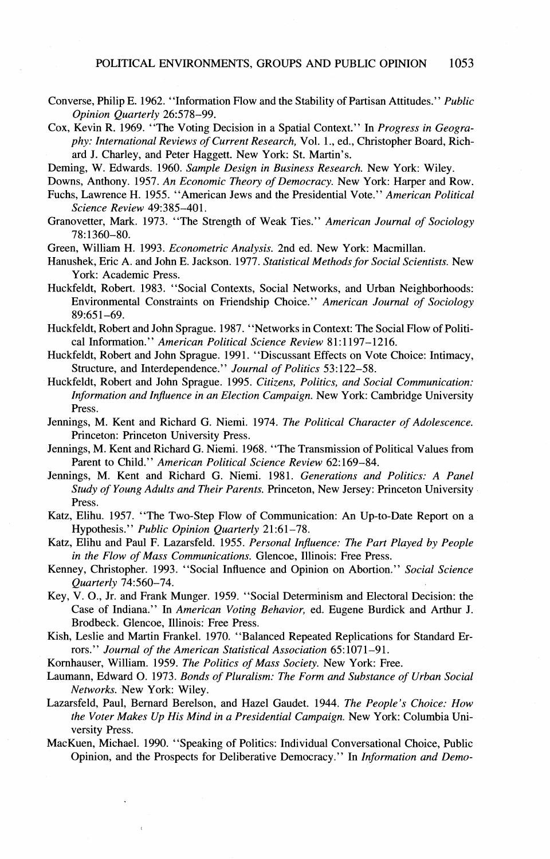Converse, Philip E. 1962. "Information Flow and the Stability of Partisan Attitudes." Public Opinion Ouarterly 26:578-99.

Cox, Kevin R. 1969. "The Voting Decision in a Spatial Context." In Progress in Geography: International Reviews of Current Research, Vol. 1., ed., Christopher Board, Richard J. Charley, and Peter Haggett. New York: St. Martin's.

Deming, W. Edwards. 1960. Sample Design in Business Research. New York: Wiley.

Downs, Anthony. 1957. An Economic Theory of Democracy. New York: Harper and Row.

- Fuchs, Lawrence H. 1955. "American Jews and the Presidential Vote." American Political Science Review 49:385-401.
- Granovetter, Mark. 1973. "The Strength of Weak Ties." American Journal of Sociology 78:1360-80.

Green, William H. 1993. Econometric Analysis. 2nd ed. New York: Macmillan.

- Hanushek, Eric A. and John E. Jackson. 1977. Statistical Methods for Social Scientists. New York: Academic Press.
- Huckfeldt, Robert. 1983. "Social Contexts, Social Networks, and Urban Neighborhoods: Environmental Constraints on Friendship Choice." American Journal of Sociology  $89:651-69.$
- Huckfeldt, Robert and John Sprague. 1987. "Networks in Context: The Social Flow of Political Information." American Political Science Review 81:1197-1216.
- Huckfeldt, Robert and John Sprague. 1991. "Discussant Effects on Vote Choice: Intimacy, Structure, and Interdependence." Journal of Politics 53:122-58.
- Huckfeldt, Robert and John Sprague. 1995. Citizens, Politics, and Social Communication: Information and Influence in an Election Campaign. New York: Cambridge University Press.
- Jennings, M. Kent and Richard G. Niemi. 1974. The Political Character of Adolescence. Princeton: Princeton University Press.
- Jennings, M. Kent and Richard G. Niemi, 1968. "The Transmission of Political Values from Parent to Child." American Political Science Review 62:169-84.
- Jennings, M. Kent and Richard G. Niemi. 1981. Generations and Politics: A Panel Study of Young Adults and Their Parents. Princeton, New Jersey: Princeton University Press.
- Katz, Elihu. 1957. "The Two-Step Flow of Communication: An Up-to-Date Report on a Hypothesis." Public Opinion Quarterly 21:61-78.
- Katz, Elihu and Paul F. Lazarsfeld. 1955. Personal Influence: The Part Played by People in the Flow of Mass Communications. Glencoe, Illinois: Free Press.
- Kenney, Christopher. 1993. "Social Influence and Opinion on Abortion." Social Science Quarterly 74:560-74.
- Key, V. O., Jr. and Frank Munger. 1959. "Social Determinism and Electoral Decision: the Case of Indiana." In American Voting Behavior, ed. Eugene Burdick and Arthur J. Brodbeck. Glencoe, Illinois: Free Press.
- Kish, Leslie and Martin Frankel. 1970. "Balanced Repeated Replications for Standard Errors." Journal of the American Statistical Association 65:1071-91.

Kornhauser, William. 1959. The Politics of Mass Society. New York: Free.

- Laumann, Edward O. 1973. Bonds of Pluralism: The Form and Substance of Urban Social Networks. New York: Wiley.
- Lazarsfeld, Paul, Bernard Berelson, and Hazel Gaudet. 1944. The People's Choice: How the Voter Makes Up His Mind in a Presidential Campaign. New York: Columbia University Press.

MacKuen, Michael. 1990. "Speaking of Politics: Individual Conversational Choice, Public Opinion, and the Prospects for Deliberative Democracy." In Information and Demo